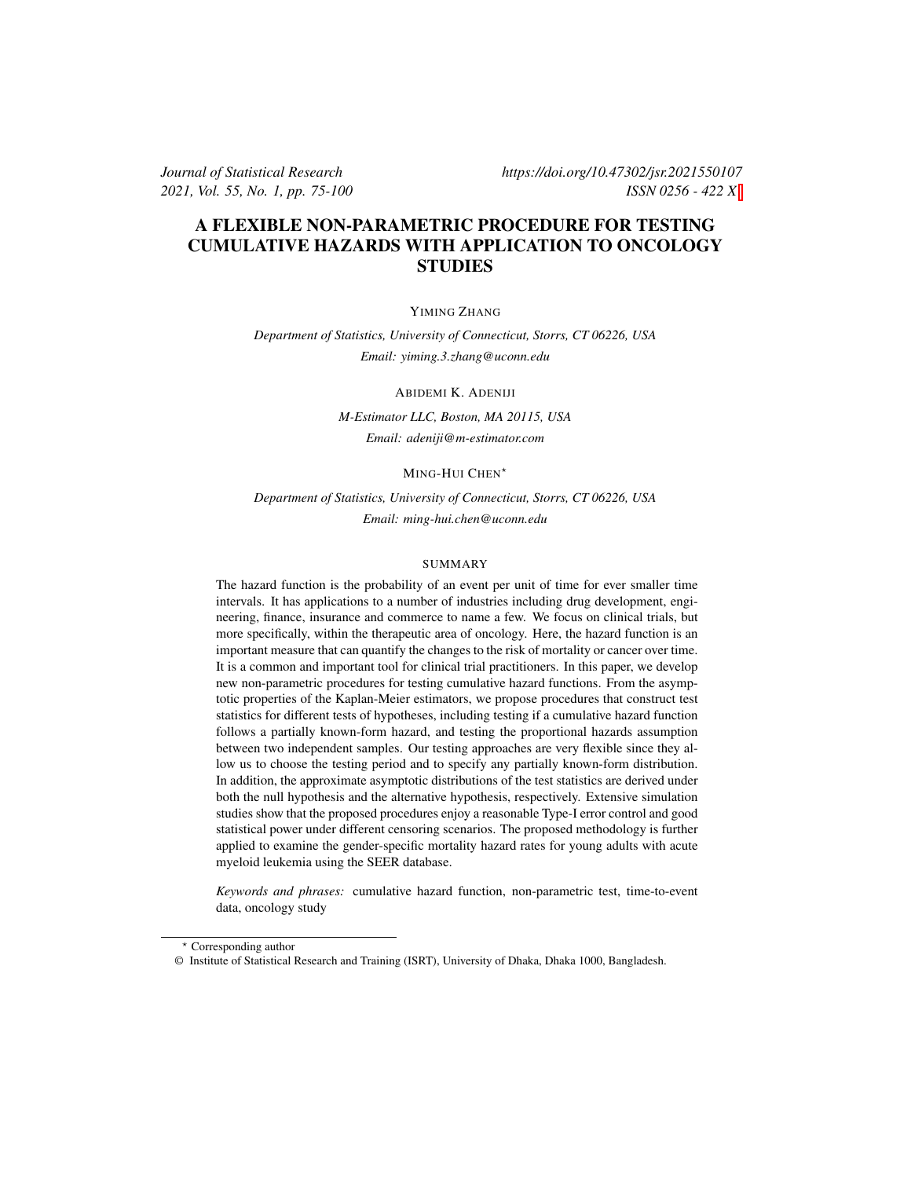*Journal of Statistical Research https://doi.org/10.47302/jsr.2021550107 2021, Vol. 55, No. 1, pp. 75-100 ISSN 0256 - 422 X*

# A FLEXIBLE NON-PARAMETRIC PROCEDURE FOR TESTING CUMULATIVE HAZARDS WITH APPLICATION TO ONCOLOGY **STUDIES**

YIMING ZHANG

*Department of Statistics, University of Connecticut, Storrs, CT 06226, USA Email: yiming.3.zhang@uconn.edu*

ABIDEMI K. ADENIJI

*M-Estimator LLC, Boston, MA 20115, USA Email: adeniji@m-estimator.com*

MING-HUI CHEN<sup>\*</sup>

*Department of Statistics, University of Connecticut, Storrs, CT 06226, USA Email: ming-hui.chen@uconn.edu*

## SUMMARY

The hazard function is the probability of an event per unit of time for ever smaller time intervals. It has applications to a number of industries including drug development, engineering, finance, insurance and commerce to name a few. We focus on clinical trials, but more specifically, within the therapeutic area of oncology. Here, the hazard function is an important measure that can quantify the changes to the risk of mortality or cancer over time. It is a common and important tool for clinical trial practitioners. In this paper, we develop new non-parametric procedures for testing cumulative hazard functions. From the asymptotic properties of the Kaplan-Meier estimators, we propose procedures that construct test statistics for different tests of hypotheses, including testing if a cumulative hazard function follows a partially known-form hazard, and testing the proportional hazards assumption between two independent samples. Our testing approaches are very flexible since they allow us to choose the testing period and to specify any partially known-form distribution. In addition, the approximate asymptotic distributions of the test statistics are derived under both the null hypothesis and the alternative hypothesis, respectively. Extensive simulation studies show that the proposed procedures enjoy a reasonable Type-I error control and good statistical power under different censoring scenarios. The proposed methodology is further applied to examine the gender-specific mortality hazard rates for young adults with acute myeloid leukemia using the SEER database.

*Keywords and phrases:* cumulative hazard function, non-parametric test, time-to-event data, oncology study

<sup>⋆</sup> Corresponding author

<sup>©</sup> Institute of Statistical Research and Training (ISRT), University of Dhaka, Dhaka 1000, Bangladesh.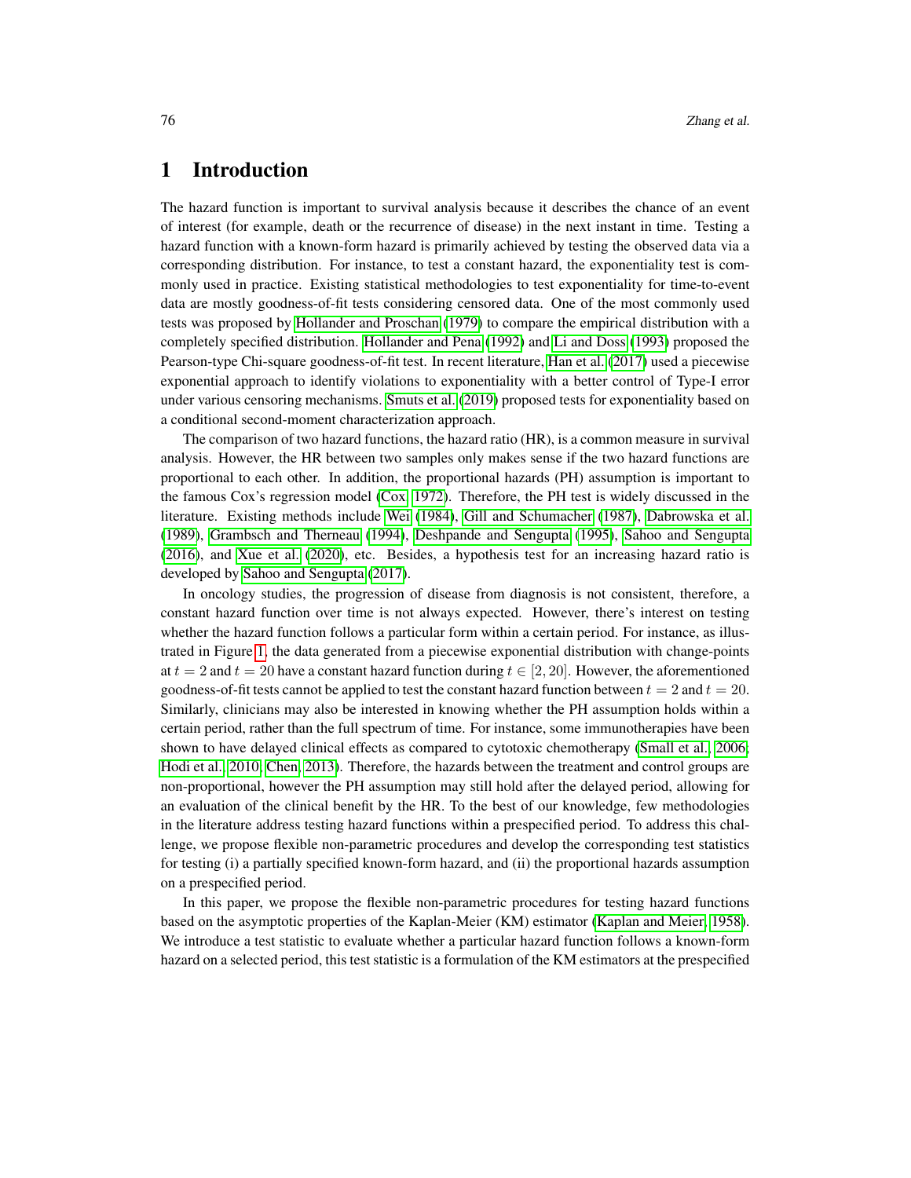# 1 Introduction

The hazard function is important to survival analysis because it describes the chance of an event of interest (for example, death or the recurrence of disease) in the next instant in time. Testing a hazard function with a known-form hazard is primarily achieved by testing the observed data via a corresponding distribution. For instance, to test a constant hazard, the exponentiality test is commonly used in practice. Existing statistical methodologies to test exponentiality for time-to-event data are mostly goodness-of-fit tests considering censored data. One of the most commonly used tests was proposed by [Hollander and Proschan](#page-24-0) [\(1979\)](#page-24-0) to compare the empirical distribution with a completely specified distribution. [Hollander and Pena](#page-24-1) [\(1992\)](#page-24-1) and [Li and Doss](#page-24-2) [\(1993\)](#page-24-2) proposed the Pearson-type Chi-square goodness-of-fit test. In recent literature, [Han et al.](#page-23-0) [\(2017\)](#page-23-0) used a piecewise exponential approach to identify violations to exponentiality with a better control of Type-I error under various censoring mechanisms. [Smuts et al.](#page-24-3) [\(2019\)](#page-24-3) proposed tests for exponentiality based on a conditional second-moment characterization approach.

The comparison of two hazard functions, the hazard ratio (HR), is a common measure in survival analysis. However, the HR between two samples only makes sense if the two hazard functions are proportional to each other. In addition, the proportional hazards (PH) assumption is important to the famous Cox's regression model [\(Cox, 1972\)](#page-23-1). Therefore, the PH test is widely discussed in the literature. Existing methods include [Wei](#page-25-0) [\(1984\)](#page-25-0), [Gill and Schumacher](#page-23-2) [\(1987\)](#page-23-2), [Dabrowska et al.](#page-23-3) [\(1989\)](#page-23-3), [Grambsch and Therneau](#page-23-4) [\(1994\)](#page-23-4), [Deshpande and Sengupta](#page-23-5) [\(1995\)](#page-23-5), [Sahoo and Sengupta](#page-24-4) [\(2016\)](#page-24-4), and [Xue et al.](#page-25-1) [\(2020\)](#page-25-1), etc. Besides, a hypothesis test for an increasing hazard ratio is developed by [Sahoo and Sengupta](#page-24-5) [\(2017\)](#page-24-5).

In oncology studies, the progression of disease from diagnosis is not consistent, therefore, a constant hazard function over time is not always expected. However, there's interest on testing whether the hazard function follows a particular form within a certain period. For instance, as illustrated in Figure [1,](#page-2-0) the data generated from a piecewise exponential distribution with change-points at  $t = 2$  and  $t = 20$  have a constant hazard function during  $t \in [2, 20]$ . However, the aforementioned goodness-of-fit tests cannot be applied to test the constant hazard function between  $t = 2$  and  $t = 20$ . Similarly, clinicians may also be interested in knowing whether the PH assumption holds within a certain period, rather than the full spectrum of time. For instance, some immunotherapies have been shown to have delayed clinical effects as compared to cytotoxic chemotherapy [\(Small et al., 2006;](#page-24-6) [Hodi et al., 2010;](#page-23-6) [Chen, 2013\)](#page-23-7). Therefore, the hazards between the treatment and control groups are non-proportional, however the PH assumption may still hold after the delayed period, allowing for an evaluation of the clinical benefit by the HR. To the best of our knowledge, few methodologies in the literature address testing hazard functions within a prespecified period. To address this challenge, we propose flexible non-parametric procedures and develop the corresponding test statistics for testing (i) a partially specified known-form hazard, and (ii) the proportional hazards assumption on a prespecified period.

In this paper, we propose the flexible non-parametric procedures for testing hazard functions based on the asymptotic properties of the Kaplan-Meier (KM) estimator [\(Kaplan and Meier, 1958\)](#page-24-7). We introduce a test statistic to evaluate whether a particular hazard function follows a known-form hazard on a selected period, this test statistic is a formulation of the KM estimators at the prespecified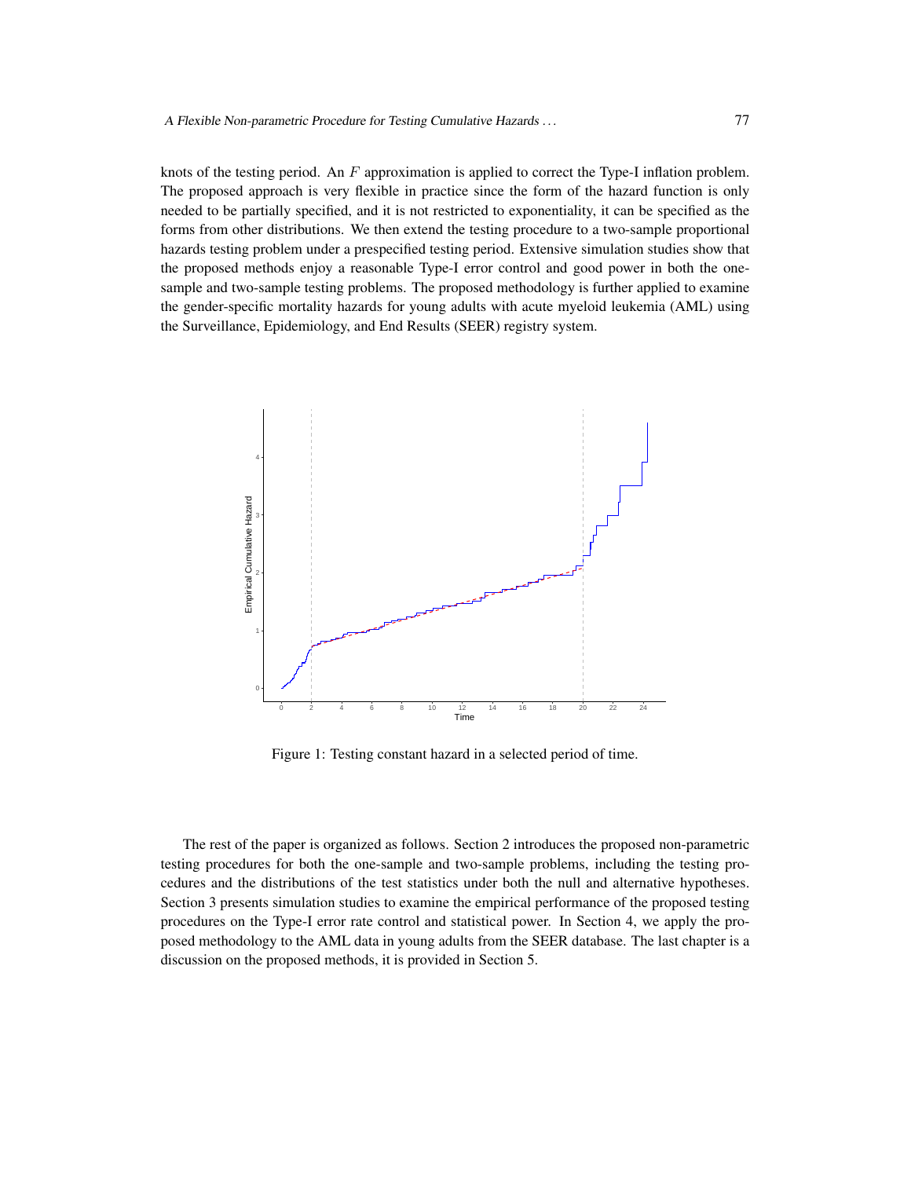knots of the testing period. An  $F$  approximation is applied to correct the Type-I inflation problem. The proposed approach is very flexible in practice since the form of the hazard function is only needed to be partially specified, and it is not restricted to exponentiality, it can be specified as the forms from other distributions. We then extend the testing procedure to a two-sample proportional hazards testing problem under a prespecified testing period. Extensive simulation studies show that the proposed methods enjoy a reasonable Type-I error control and good power in both the onesample and two-sample testing problems. The proposed methodology is further applied to examine the gender-specific mortality hazards for young adults with acute myeloid leukemia (AML) using the Surveillance, Epidemiology, and End Results (SEER) registry system.



<span id="page-2-0"></span>Figure 1: Testing constant hazard in a selected period of time.

The rest of the paper is organized as follows. Section 2 introduces the proposed non-parametric testing procedures for both the one-sample and two-sample problems, including the testing procedures and the distributions of the test statistics under both the null and alternative hypotheses. Section 3 presents simulation studies to examine the empirical performance of the proposed testing procedures on the Type-I error rate control and statistical power. In Section 4, we apply the proposed methodology to the AML data in young adults from the SEER database. The last chapter is a discussion on the proposed methods, it is provided in Section 5.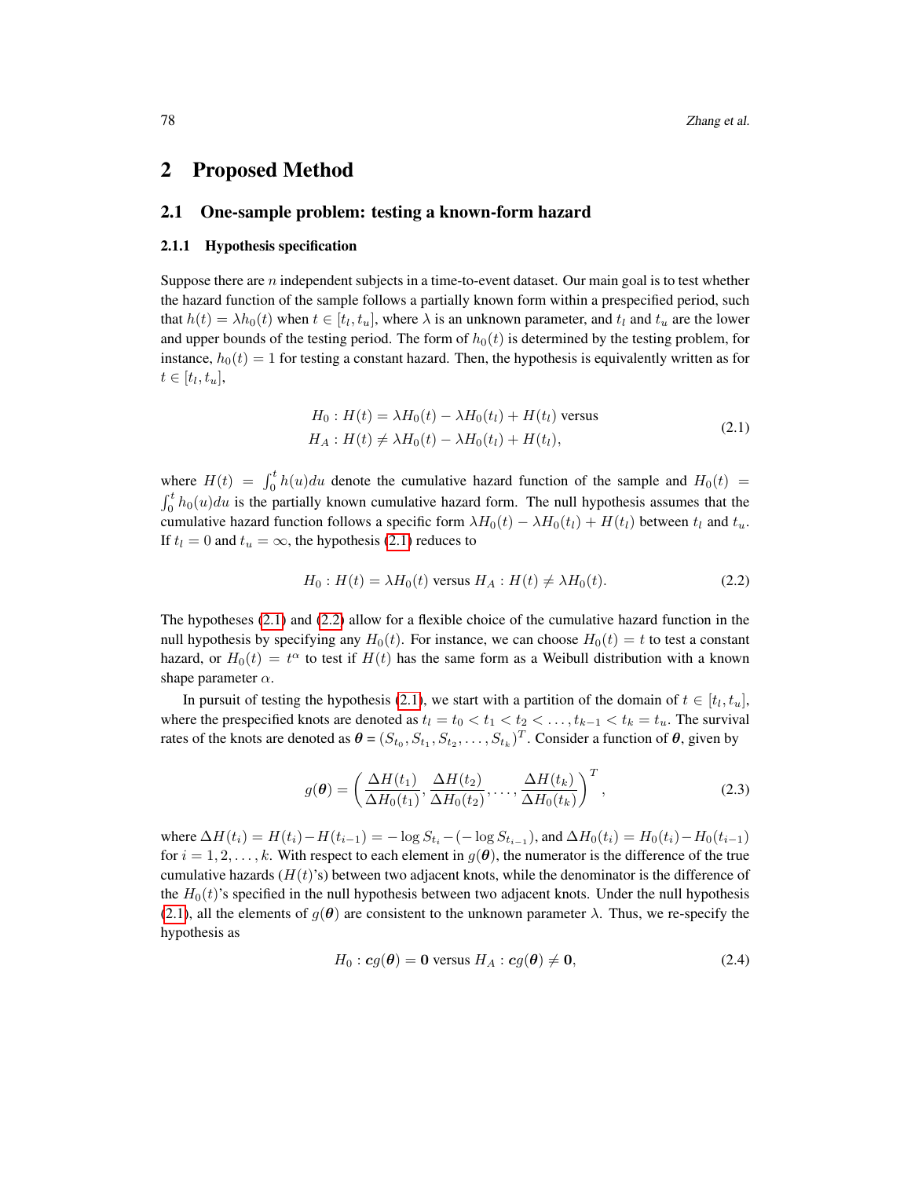# 2 Proposed Method

# 2.1 One-sample problem: testing a known-form hazard

## 2.1.1 Hypothesis specification

Suppose there are  $n$  independent subjects in a time-to-event dataset. Our main goal is to test whether the hazard function of the sample follows a partially known form within a prespecified period, such that  $h(t) = \lambda h_0(t)$  when  $t \in [t_l, t_u]$ , where  $\lambda$  is an unknown parameter, and  $t_l$  and  $t_u$  are the lower and upper bounds of the testing period. The form of  $h_0(t)$  is determined by the testing problem, for instance,  $h_0(t) = 1$  for testing a constant hazard. Then, the hypothesis is equivalently written as for  $t \in [t_l, t_u],$ 

<span id="page-3-0"></span>
$$
H_0: H(t) = \lambda H_0(t) - \lambda H_0(t_l) + H(t_l) \text{ versus}
$$
  
\n
$$
H_A: H(t) \neq \lambda H_0(t) - \lambda H_0(t_l) + H(t_l),
$$
\n(2.1)

where  $H(t) = \int_0^t h(u)du$  denote the cumulative hazard function of the sample and  $H_0(t)$  =  $\int_0^t h_0(u)du$  is the partially known cumulative hazard form. The null hypothesis assumes that the cumulative hazard function follows a specific form  $\lambda H_0(t) - \lambda H_0(t) + H(t)$  between  $t_l$  and  $t_u$ . If  $t_l = 0$  and  $t_u = \infty$ , the hypothesis [\(2.1\)](#page-3-0) reduces to

<span id="page-3-1"></span>
$$
H_0: H(t) = \lambda H_0(t) \text{ versus } H_A: H(t) \neq \lambda H_0(t). \tag{2.2}
$$

The hypotheses [\(2.1\)](#page-3-0) and [\(2.2\)](#page-3-1) allow for a flexible choice of the cumulative hazard function in the null hypothesis by specifying any  $H_0(t)$ . For instance, we can choose  $H_0(t) = t$  to test a constant hazard, or  $H_0(t) = t^{\alpha}$  to test if  $H(t)$  has the same form as a Weibull distribution with a known shape parameter  $\alpha$ .

In pursuit of testing the hypothesis [\(2.1\)](#page-3-0), we start with a partition of the domain of  $t \in [t_l, t_u]$ , where the prespecified knots are denoted as  $t_l = t_0 < t_1 < t_2 < \ldots, t_{k-1} < t_k = t_u$ . The survival rates of the knots are denoted as  $\boldsymbol{\theta} = (S_{t_0}, S_{t_1}, S_{t_2}, \dots, S_{t_k})^T$ . Consider a function of  $\boldsymbol{\theta}$ , given by

$$
g(\boldsymbol{\theta}) = \left(\frac{\Delta H(t_1)}{\Delta H_0(t_1)}, \frac{\Delta H(t_2)}{\Delta H_0(t_2)}, \dots, \frac{\Delta H(t_k)}{\Delta H_0(t_k)}\right)^T, \tag{2.3}
$$

where  $\Delta H(t_i) = H(t_i) - H(t_{i-1}) = -\log S_{t_i} - (-\log S_{t_{i-1}})$ , and  $\Delta H_0(t_i) = H_0(t_i) - H_0(t_{i-1})$ for  $i = 1, 2, \ldots, k$ . With respect to each element in  $g(\theta)$ , the numerator is the difference of the true cumulative hazards  $(H(t)$ 's) between two adjacent knots, while the denominator is the difference of the  $H_0(t)$ 's specified in the null hypothesis between two adjacent knots. Under the null hypothesis [\(2.1\)](#page-3-0), all the elements of  $g(\theta)$  are consistent to the unknown parameter  $\lambda$ . Thus, we re-specify the hypothesis as

<span id="page-3-2"></span>
$$
H_0: cg(\theta) = 0 \text{ versus } H_A: cg(\theta) \neq 0,
$$
\n(2.4)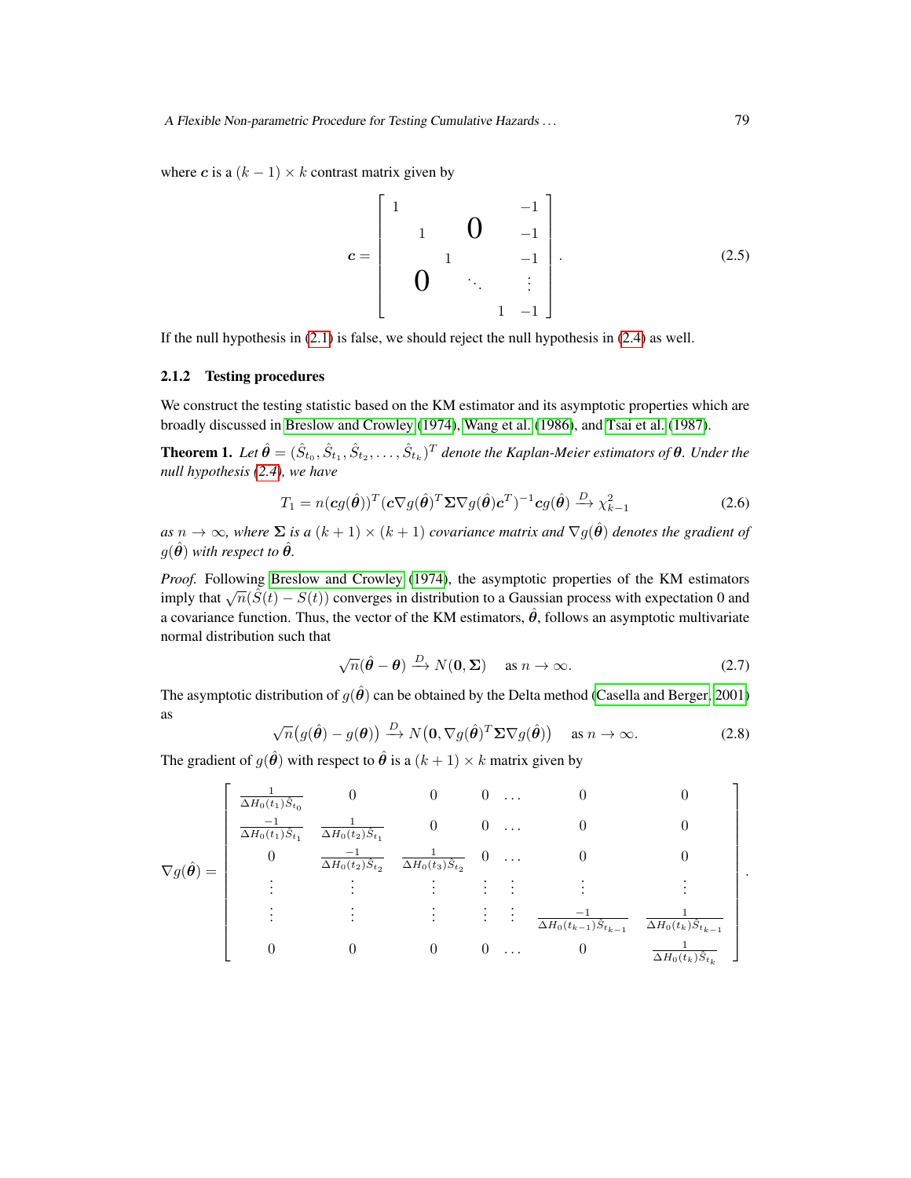where c is a  $(k - 1) \times k$  contrast matrix given by

<span id="page-4-2"></span>
$$
c = \begin{bmatrix} 1 & & & & -1 \\ & 1 & 0 & & -1 \\ & & 1 & & -1 \\ & & & \ddots & \vdots \\ & & & & 1 & -1 \end{bmatrix}.
$$
 (2.5)

If the null hypothesis in [\(2.1\)](#page-3-0) is false, we should reject the null hypothesis in [\(2.4\)](#page-3-2) as well.

## 2.1.2 Testing procedures

We construct the testing statistic based on the KM estimator and its asymptotic properties which are broadly discussed in [Breslow and Crowley](#page-23-8) [\(1974\)](#page-23-8), [Wang et al.](#page-25-2) [\(1986\)](#page-25-2), and [Tsai et al.](#page-25-3) [\(1987\)](#page-25-3).

**Theorem 1.** Let  $\hat{\theta} = (\hat{S}_{t_0}, \hat{S}_{t_1}, \hat{S}_{t_2}, \dots, \hat{S}_{t_k})^T$  denote the Kaplan-Meier estimators of  $\theta$ . Under the *null hypothesis [\(2.4\)](#page-3-2), we have*

<span id="page-4-0"></span>
$$
T_1 = n(\mathbf{c}g(\hat{\boldsymbol{\theta}}))^T (\mathbf{c} \nabla g(\hat{\boldsymbol{\theta}})^T \Sigma \nabla g(\hat{\boldsymbol{\theta}}) \mathbf{c}^T)^{-1} \mathbf{c}g(\hat{\boldsymbol{\theta}}) \xrightarrow{D} \chi^2_{k-1}
$$
 (2.6)

*as*  $n \to \infty$ *, where*  $\Sigma$  *is a*  $(k+1) \times (k+1)$  *covariance matrix and*  $\nabla g(\hat{\theta})$  *denotes the gradient of*  $g(\hat{\theta})$  *with respect to*  $\hat{\theta}$ *.* 

*Proof.* Following [Breslow and Crowley](#page-23-8) [\(1974\)](#page-23-8), the asymptotic properties of the KM estimators imply that  $\sqrt{n}(\hat{S}(t) - S(t))$  converges in distribution to a Gaussian process with expectation 0 and a covariance function. Thus, the vector of the KM estimators,  $\hat{\theta}$ , follows an asymptotic multivariate normal distribution such that

<span id="page-4-3"></span>
$$
\sqrt{n}(\hat{\theta} - \theta) \xrightarrow{D} N(\mathbf{0}, \Sigma) \quad \text{as } n \to \infty. \tag{2.7}
$$

The asymptotic distribution of  $g(\hat{\theta})$  can be obtained by the Delta method [\(Casella and Berger, 2001\)](#page-23-9) as

<span id="page-4-1"></span>
$$
\sqrt{n}(g(\hat{\boldsymbol{\theta}}) - g(\boldsymbol{\theta})) \xrightarrow{D} N(\mathbf{0}, \nabla g(\hat{\boldsymbol{\theta}})^T \Sigma \nabla g(\hat{\boldsymbol{\theta}})) \quad \text{as } n \to \infty.
$$
 (2.8)

The gradient of  $g(\hat{\theta})$  with respect to  $\hat{\theta}$  is a  $(k+1) \times k$  matrix given by

$$
\nabla g(\hat{\theta}) = \begin{bmatrix}\n\frac{1}{\Delta H_0(t_1)\hat{S}_{t_0}} & 0 & 0 & 0 & \dots & 0 & 0 \\
\frac{-1}{\Delta H_0(t_1)\hat{S}_{t_1}} & \frac{1}{\Delta H_0(t_2)\hat{S}_{t_2}} & 0 & 0 & \dots & 0 & 0 \\
0 & \frac{-1}{\Delta H_0(t_2)\hat{S}_{t_2}} & \frac{1}{\Delta H_0(t_3)\hat{S}_{t_2}} & 0 & \dots & 0 & 0 \\
\vdots & \vdots & \vdots & \vdots & \vdots & \vdots & \vdots \\
0 & 0 & 0 & 0 & \dots & 0 & \frac{1}{\Delta H_0(t_k)\hat{S}_{t_{k-1}}}\n\end{bmatrix}
$$

.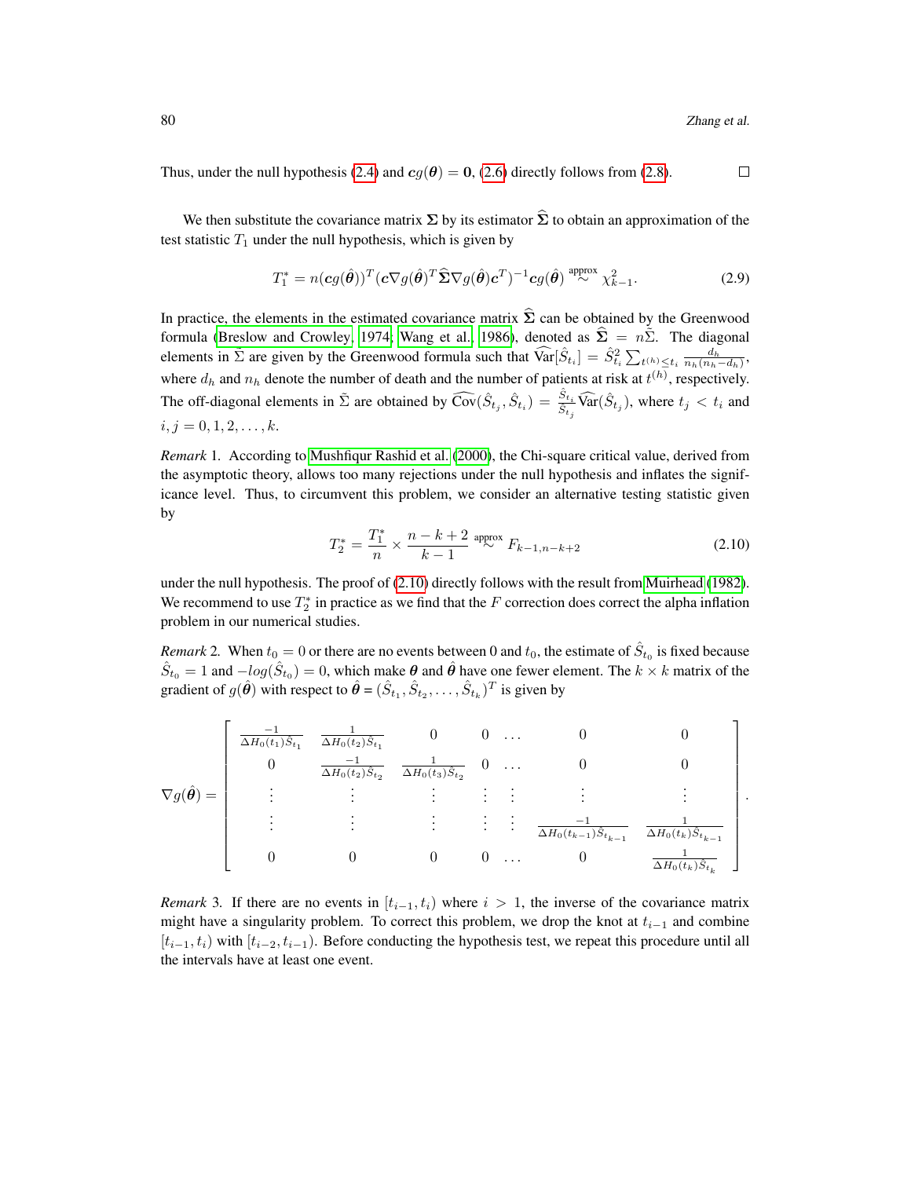.

Thus, under the null hypothesis [\(2.4\)](#page-3-2) and  $cg(\theta) = 0$ , [\(2.6\)](#page-4-0) directly follows from [\(2.8\)](#page-4-1).  $\Box$ 

We then substitute the covariance matrix  $\Sigma$  by its estimator  $\widehat{\Sigma}$  to obtain an approximation of the test statistic  $T_1$  under the null hypothesis, which is given by

$$
T_1^* = n(\mathbf{c}g(\hat{\boldsymbol{\theta}}))^T (\mathbf{c} \nabla g(\hat{\boldsymbol{\theta}})^T \widehat{\boldsymbol{\Sigma}} \nabla g(\hat{\boldsymbol{\theta}}) \mathbf{c}^T)^{-1} \mathbf{c}g(\hat{\boldsymbol{\theta}})^{\text{ approx}} \chi^2_{k-1}.
$$
 (2.9)

In practice, the elements in the estimated covariance matrix  $\hat{\Sigma}$  can be obtained by the Greenwood formula [\(Breslow and Crowley, 1974;](#page-23-8) [Wang et al., 1986\)](#page-25-2), denoted as  $\hat{\Sigma} = n\tilde{\Sigma}$ . The diagonal elements in  $\tilde{\Sigma}$  are given by the Greenwood formula such that  $\widehat{\text{Var}}[\hat{S}_{t_i}] = \hat{S}_{t_i}^2 \sum_{t^{(h)} \leq t_i} \frac{d_h}{n_h(n_h - d_h)},$ where  $d_h$  and  $n_h$  denote the number of death and the number of patients at risk at  $t^{(h)}$ , respectively. The off-diagonal elements in  $\tilde{\Sigma}$  are obtained by  $\widehat{\text{Cov}}(\hat{S}_{t_j}, \hat{S}_{t_i}) = \frac{\hat{S}_{t_i}}{\hat{S}_{t_j}} \widehat{\text{Var}}(\hat{S}_{t_j})$ , where  $t_j < t_i$  and  $i, j = 0, 1, 2, \ldots, k.$ 

*Remark* 1*.* According to [Mushfiqur Rashid et al.](#page-24-8) [\(2000\)](#page-24-8), the Chi-square critical value, derived from the asymptotic theory, allows too many rejections under the null hypothesis and inflates the significance level. Thus, to circumvent this problem, we consider an alternative testing statistic given by

<span id="page-5-0"></span>
$$
T_2^* = \frac{T_1^*}{n} \times \frac{n-k+2}{k-1} \stackrel{\text{approx}}{\sim} F_{k-1, n-k+2}
$$
 (2.10)

under the null hypothesis. The proof of [\(2.10\)](#page-5-0) directly follows with the result from [Muirhead](#page-24-9) [\(1982\)](#page-24-9). We recommend to use  $T_2^*$  in practice as we find that the F correction does correct the alpha inflation problem in our numerical studies.

*Remark* 2. When  $t_0 = 0$  or there are no events between 0 and  $t_0$ , the estimate of  $\hat{S}_{t_0}$  is fixed because  $\hat{S}_{t_0} = 1$  and  $-log(\hat{S}_{t_0}) = 0$ , which make  $\theta$  and  $\hat{\theta}$  have one fewer element. The  $k \times k$  matrix of the gradient of  $g(\hat{\theta})$  with respect to  $\hat{\theta} = (\hat{S}_{t_1}, \hat{S}_{t_2}, \dots, \hat{S}_{t_k})^T$  is given by

$$
\nabla g(\hat{\theta}) = \begin{bmatrix}\n\frac{-1}{\Delta H_0(t_1)\hat{S}_{t_1}} & \frac{1}{\Delta H_0(t_2)\hat{S}_{t_1}} & 0 & 0 & \dots & 0 & 0 \\
0 & \frac{-1}{\Delta H_0(t_2)\hat{S}_{t_2}} & \frac{1}{\Delta H_0(t_3)\hat{S}_{t_2}} & 0 & \dots & 0 & 0 \\
\vdots & \vdots & \vdots & \vdots & \vdots & \vdots & \vdots \\
\vdots & \vdots & \vdots & \vdots & \vdots & \vdots \\
0 & 0 & 0 & 0 & \dots & 0 & \frac{1}{\Delta H_0(t_k)\hat{S}_{t_k}}\n\end{bmatrix}
$$

*Remark* 3. If there are no events in  $[t_{i-1}, t_i)$  where  $i > 1$ , the inverse of the covariance matrix might have a singularity problem. To correct this problem, we drop the knot at  $t_{i-1}$  and combine  $[t_{i-1}, t_i)$  with  $[t_{i-2}, t_{i-1})$ . Before conducting the hypothesis test, we repeat this procedure until all the intervals have at least one event.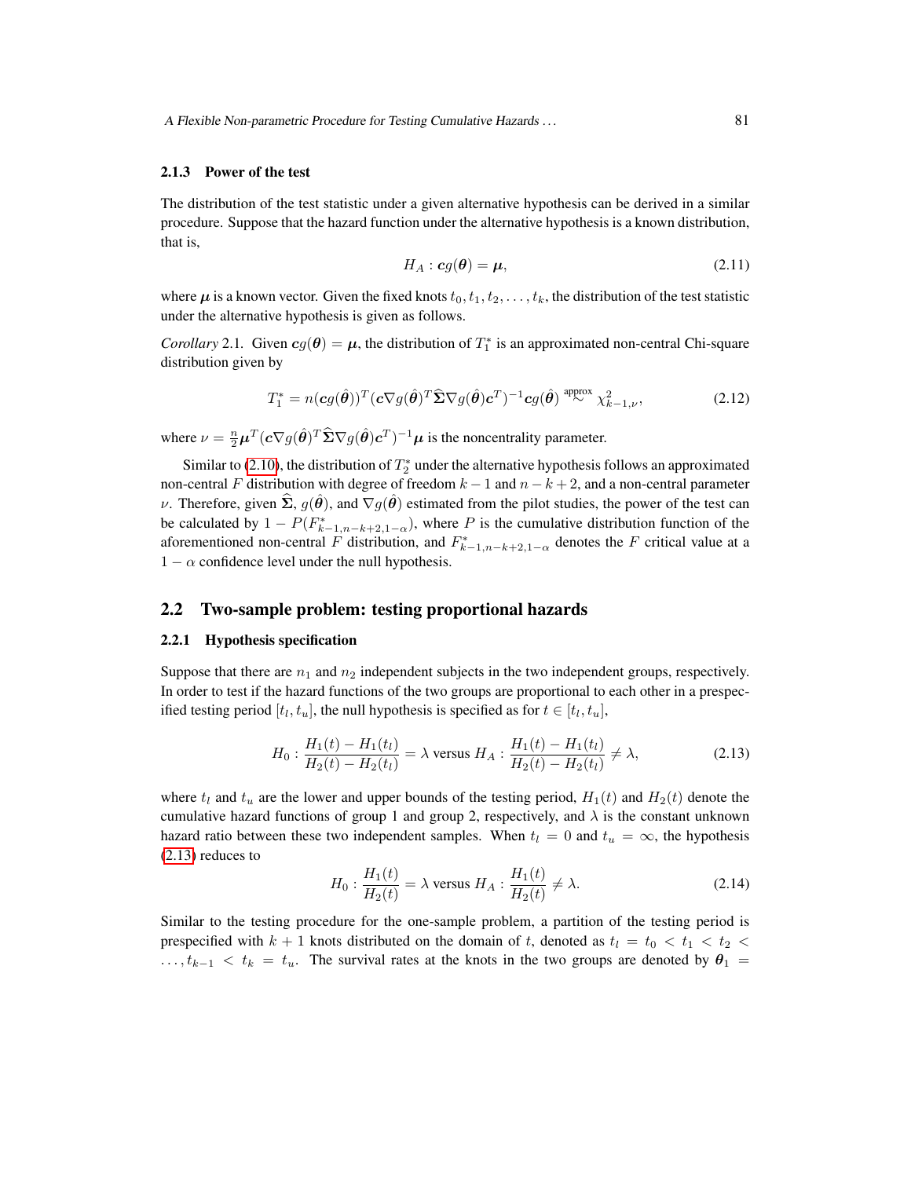#### 2.1.3 Power of the test

The distribution of the test statistic under a given alternative hypothesis can be derived in a similar procedure. Suppose that the hazard function under the alternative hypothesis is a known distribution, that is,

<span id="page-6-1"></span>
$$
H_A: cg(\theta) = \mu, \tag{2.11}
$$

where  $\mu$  is a known vector. Given the fixed knots  $t_0, t_1, t_2, \ldots, t_k$ , the distribution of the test statistic under the alternative hypothesis is given as follows.

*Corollary* 2.1. Given  $cg(\theta) = \mu$ , the distribution of  $T_1^*$  is an approximated non-central Chi-square distribution given by

$$
T_1^* = n(\mathbf{c}g(\hat{\boldsymbol{\theta}}))^T (\mathbf{c} \nabla g(\hat{\boldsymbol{\theta}})^T \widehat{\boldsymbol{\Sigma}} \nabla g(\hat{\boldsymbol{\theta}}) \mathbf{c}^T)^{-1} \mathbf{c}g(\hat{\boldsymbol{\theta}})^{\text{ approx}} \chi^2_{k-1,\nu},
$$
(2.12)

where  $\nu = \frac{n}{2}\mu^T(c\nabla g(\hat{\theta})^T \hat{\Sigma} \nabla g(\hat{\theta}) c^T)^{-1} \mu$  is the noncentrality parameter.

Similar to [\(2.10\)](#page-5-0), the distribution of  $T_2^*$  under the alternative hypothesis follows an approximated non-central F distribution with degree of freedom  $k - 1$  and  $n - k + 2$ , and a non-central parameter ν. Therefore, given  $\Sigma$ ,  $g(\theta)$ , and  $\nabla g(\theta)$  estimated from the pilot studies, the power of the test can be calculated by  $1 - P(F_{k-1,n-k+2,1-\alpha}^*)$ , where P is the cumulative distribution function of the aforementioned non-central F distribution, and  $F_{k-1,n-k+2,1-\alpha}^*$  denotes the F critical value at a  $1 - \alpha$  confidence level under the null hypothesis.

# 2.2 Two-sample problem: testing proportional hazards

## 2.2.1 Hypothesis specification

Suppose that there are  $n_1$  and  $n_2$  independent subjects in the two independent groups, respectively. In order to test if the hazard functions of the two groups are proportional to each other in a prespecified testing period  $[t_l, t_u]$ , the null hypothesis is specified as for  $t \in [t_l, t_u]$ ,

<span id="page-6-0"></span>
$$
H_0: \frac{H_1(t) - H_1(t_l)}{H_2(t) - H_2(t_l)} = \lambda \text{ versus } H_A: \frac{H_1(t) - H_1(t_l)}{H_2(t) - H_2(t_l)} \neq \lambda,
$$
\n(2.13)

where  $t_l$  and  $t_u$  are the lower and upper bounds of the testing period,  $H_1(t)$  and  $H_2(t)$  denote the cumulative hazard functions of group 1 and group 2, respectively, and  $\lambda$  is the constant unknown hazard ratio between these two independent samples. When  $t<sub>l</sub> = 0$  and  $t<sub>u</sub> = \infty$ , the hypothesis [\(2.13\)](#page-6-0) reduces to

$$
H_0: \frac{H_1(t)}{H_2(t)} = \lambda \text{ versus } H_A: \frac{H_1(t)}{H_2(t)} \neq \lambda. \tag{2.14}
$$

Similar to the testing procedure for the one-sample problem, a partition of the testing period is prespecified with  $k + 1$  knots distributed on the domain of t, denoted as  $t<sub>l</sub> = t<sub>0</sub> < t<sub>1</sub> < t<sub>2</sub> <$  $\dots, t_{k-1} < t_k = t_u$ . The survival rates at the knots in the two groups are denoted by  $\theta_1 =$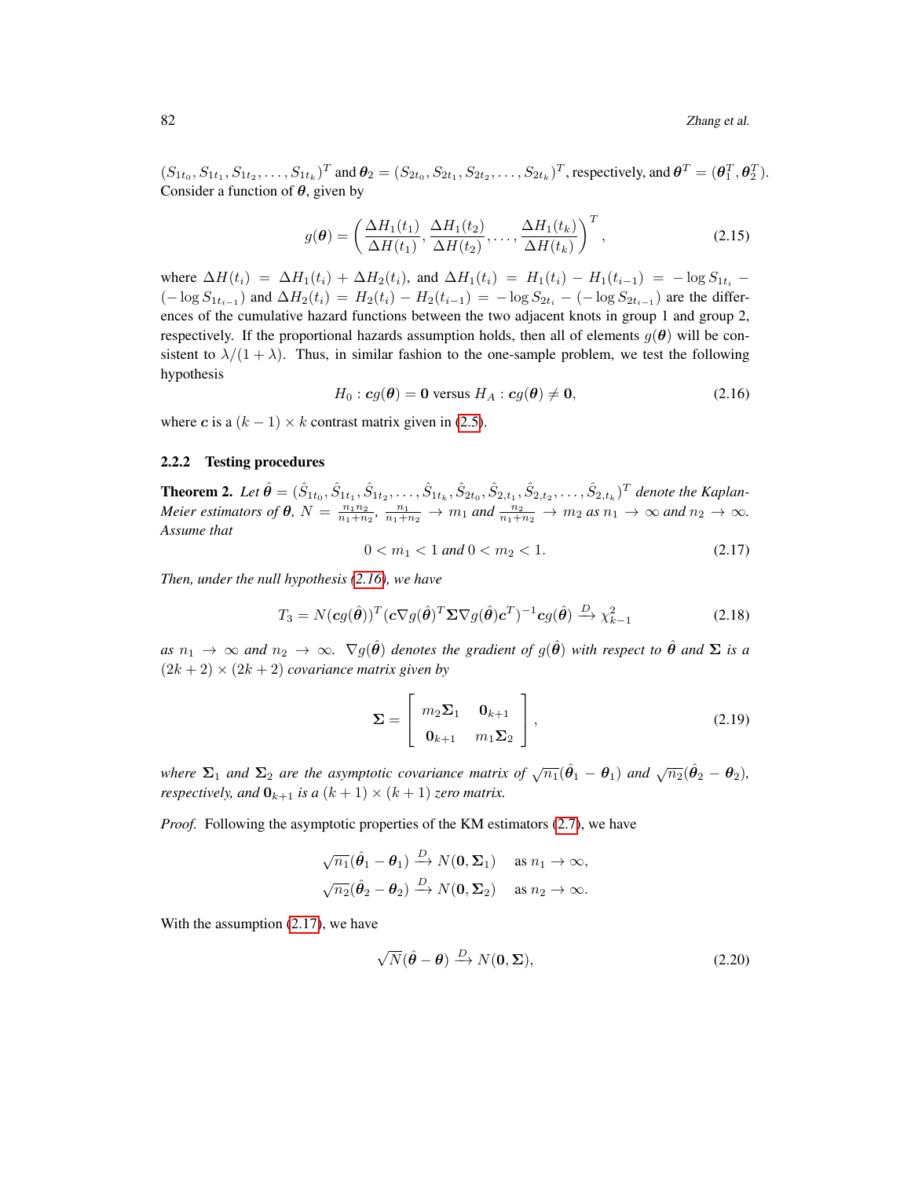$(S_{1t_0}, S_{1t_1}, S_{1t_2}, \ldots, S_{1t_k})^T$  and  $\theta_2 = (S_{2t_0}, S_{2t_1}, S_{2t_2}, \ldots, S_{2t_k})^T$ , respectively, and  $\theta^T = (\theta_1^T, \theta_2^T)$ . Consider a function of  $\theta$ , given by

$$
g(\boldsymbol{\theta}) = \left(\frac{\Delta H_1(t_1)}{\Delta H(t_1)}, \frac{\Delta H_1(t_2)}{\Delta H(t_2)}, \dots, \frac{\Delta H_1(t_k)}{\Delta H(t_k)}\right)^T, \tag{2.15}
$$

where  $\Delta H(t_i) = \Delta H_1(t_i) + \Delta H_2(t_i)$ , and  $\Delta H_1(t_i) = H_1(t_i) - H_1(t_{i-1}) = -\log S_{1t_i}$  $(-\log S_{1t_{i-1}})$  and  $\Delta H_2(t_i) = H_2(t_i) - H_2(t_{i-1}) = -\log S_{2t_i} - (-\log S_{2t_{i-1}})$  are the differences of the cumulative hazard functions between the two adjacent knots in group 1 and group 2, respectively. If the proportional hazards assumption holds, then all of elements  $g(\theta)$  will be consistent to  $\lambda/(1 + \lambda)$ . Thus, in similar fashion to the one-sample problem, we test the following hypothesis

<span id="page-7-0"></span>
$$
H_0: cg(\theta) = 0 \text{ versus } H_A: cg(\theta) \neq 0,
$$
\n(2.16)

where c is a  $(k - 1) \times k$  contrast matrix given in [\(2.5\)](#page-4-2).

## 2.2.2 Testing procedures

**Theorem 2.** Let  $\hat{\theta} = (\hat{S}_{1t_0}, \hat{S}_{1t_1}, \hat{S}_{1t_2}, \ldots, \hat{S}_{1t_k}, \hat{S}_{2t_0}, \hat{S}_{2,t_1}, \hat{S}_{2,t_2}, \ldots, \hat{S}_{2,t_k})^T$  denote the Kaplan-*Meier estimators of*  $\theta$ ,  $N = \frac{n_1 n_2}{n_1 + n_2}$ ,  $\frac{n_1}{n_1 + n_2} \rightarrow m_1$  and  $\frac{n_2}{n_1 + n_2} \rightarrow m_2$  as  $n_1 \rightarrow \infty$  and  $n_2 \rightarrow \infty$ . *Assume that*

<span id="page-7-1"></span>
$$
0 < m_1 < 1 \text{ and } 0 < m_2 < 1. \tag{2.17}
$$

*Then, under the null hypothesis [\(2.16\)](#page-7-0), we have*

$$
T_3 = N(cg(\hat{\theta}))^T (c\nabla g(\hat{\theta})^T \Sigma \nabla g(\hat{\theta}) c^T)^{-1} cg(\hat{\theta}) \xrightarrow{D} \chi^2_{k-1}
$$
 (2.18)

 $as\ n_1\to\infty$  *and*  $n_2\to\infty$ .  $\nabla g(\hat{\theta})$  *denotes the gradient of*  $g(\hat{\theta})$  *with respect to*  $\hat{\theta}$  *and*  $\Sigma$  *is a*  $(2k + 2) \times (2k + 2)$  *covariance matrix given by* 

<span id="page-7-2"></span>
$$
\Sigma = \begin{bmatrix} m_2 \Sigma_1 & \mathbf{0}_{k+1} \\ \mathbf{0}_{k+1} & m_1 \Sigma_2 \end{bmatrix},
$$
 (2.19)

*where*  $\Sigma_1$  *and*  $\Sigma_2$  *are the asymptotic covariance matrix of*  $\sqrt{n_1}(\hat{\theta}_1 - \theta_1)$  *and*  $\sqrt{n_2}(\hat{\theta}_2 - \theta_2)$ *, respectively, and*  $\mathbf{0}_{k+1}$  *is a*  $(k+1) \times (k+1)$  *zero matrix.* 

*Proof.* Following the asymptotic properties of the KM estimators [\(2.7\)](#page-4-3), we have

$$
\sqrt{n_1}(\hat{\theta}_1 - \theta_1) \xrightarrow{D} N(\mathbf{0}, \Sigma_1) \text{ as } n_1 \to \infty,
$$
  

$$
\sqrt{n_2}(\hat{\theta}_2 - \theta_2) \xrightarrow{D} N(\mathbf{0}, \Sigma_2) \text{ as } n_2 \to \infty.
$$

With the assumption  $(2.17)$ , we have

$$
\sqrt{N}(\hat{\theta} - \theta) \xrightarrow{D} N(\mathbf{0}, \Sigma), \tag{2.20}
$$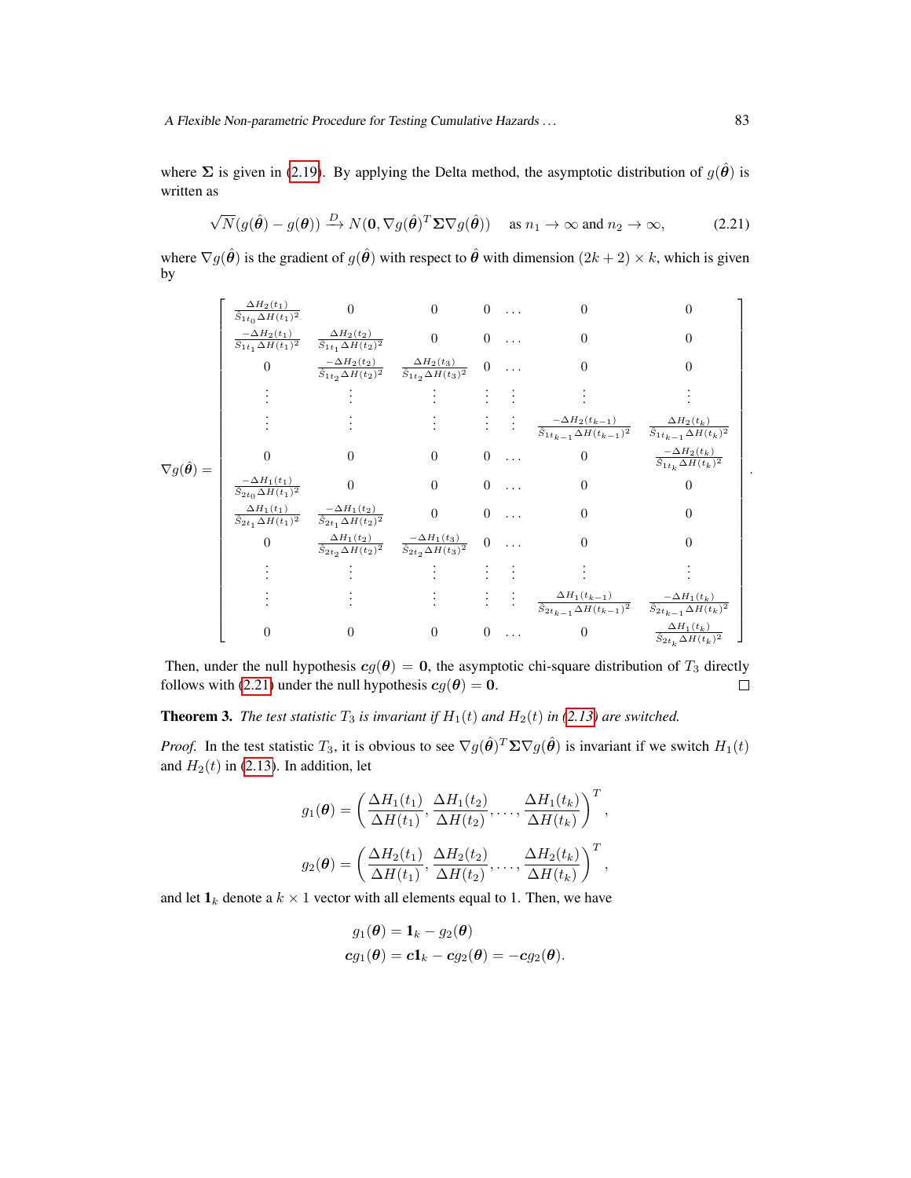where  $\Sigma$  is given in [\(2.19\)](#page-7-2). By applying the Delta method, the asymptotic distribution of  $g(\hat{\theta})$  is written as

<span id="page-8-0"></span>
$$
\sqrt{N}(g(\hat{\boldsymbol{\theta}}) - g(\boldsymbol{\theta})) \xrightarrow{D} N(\mathbf{0}, \nabla g(\hat{\boldsymbol{\theta}})^T \Sigma \nabla g(\hat{\boldsymbol{\theta}})) \quad \text{as } n_1 \to \infty \text{ and } n_2 \to \infty,
$$
 (2.21)

where  $\nabla g(\hat{\theta})$  is the gradient of  $g(\hat{\theta})$  with respect to  $\hat{\theta}$  with dimension  $(2k+2) \times k$ , which is given by

$$
\nabla g(\hat{\theta}) = \begin{bmatrix}\n\frac{\Delta H_2(t_1)}{\hat{S}_{1t_0}\Delta H(t_1)^2} & 0 & 0 & 0 & \dots & 0 & 0 \\
\frac{-\Delta H_2(t_1)}{\hat{S}_{1t_1}\Delta H(t_1)^2} & \frac{\Delta H_2(t_2)}{\hat{S}_{1t_2}\Delta H(t_2)^2} & 0 & 0 & \dots & 0 & 0 \\
0 & \frac{-\Delta H_2(t_2)}{\hat{S}_{1t_2}\Delta H(t_2)^2} & \frac{\Delta H_2(t_3)}{\hat{S}_{1t_2}\Delta H(t_3)^2} & 0 & \dots & 0 & 0 \\
\vdots & \vdots & \vdots & \vdots & \vdots & \vdots & \vdots \\
\vdots & \vdots & \vdots & \vdots & \vdots & \vdots \\
\frac{-\Delta H_1(t_1)}{\hat{S}_{2t_0}\Delta H(t_1)^2} & 0 & 0 & 0 & \dots & 0 & \frac{-\Delta H_2(t_k)}{\hat{S}_{1t_k-1}\Delta H(t_{k-1})^2} & \frac{\Delta H_2(t_k)}{\hat{S}_{1t_k-1}\Delta H(t_k)^2} \\
\frac{-\Delta H_1(t_1)}{\hat{S}_{2t_1}\Delta H(t_1)^2} & 0 & 0 & \dots & 0 & 0 & 0 \\
\frac{-\Delta H_1(t_1)}{\hat{S}_{2t_1}\Delta H(t_1)^2} & \frac{-\Delta H_1(t_2)}{\hat{S}_{2t_2}\Delta H(t_2)^2} & 0 & 0 & \dots & 0 & 0 \\
0 & \frac{\Delta H_1(t_2)}{\hat{S}_{2t_2}\Delta H(t_2)^2} & \frac{-\Delta H_1(t_3)}{\hat{S}_{2t_2}\Delta H(t_3)^2} & 0 & \dots & 0 & 0 \\
\vdots & \vdots & \vdots & \vdots & \vdots & \vdots \\
\vdots & \vdots & \vdots & \vdots & \vdots & \vdots \\
\frac{-\Delta H_1(t_k)}{\hat{S}_{2t_k}\Delta H(t_k)^2} & 0 & 0 & \dots & 0 & \frac{\Delta H_1(t_k)}{\hat{S}_{2t_k}\Delta H(t_k)^2}\n\end{bmatrix}
$$

Then, under the null hypothesis  $cg(\theta) = 0$ , the asymptotic chi-square distribution of  $T_3$  directly follows with [\(2.21\)](#page-8-0) under the null hypothesis  $cg(\theta) = 0$ .  $\Box$ 

**Theorem 3.** *The test statistic*  $T_3$  *is invariant if*  $H_1(t)$  *and*  $H_2(t)$  *in* [\(2.13\)](#page-6-0) *are switched.* 

*Proof.* In the test statistic  $T_3$ , it is obvious to see  $\nabla g(\hat{\theta})^T \Sigma \nabla g(\hat{\theta})$  is invariant if we switch  $H_1(t)$ and  $H_2(t)$  in [\(2.13\)](#page-6-0). In addition, let

$$
g_1(\boldsymbol{\theta}) = \left(\frac{\Delta H_1(t_1)}{\Delta H(t_1)}, \frac{\Delta H_1(t_2)}{\Delta H(t_2)}, \dots, \frac{\Delta H_1(t_k)}{\Delta H(t_k)}\right)^T,
$$
  

$$
g_2(\boldsymbol{\theta}) = \left(\frac{\Delta H_2(t_1)}{\Delta H(t_1)}, \frac{\Delta H_2(t_2)}{\Delta H(t_2)}, \dots, \frac{\Delta H_2(t_k)}{\Delta H(t_k)}\right)^T,
$$

and let  $\mathbf{1}_k$  denote a  $k \times 1$  vector with all elements equal to 1. Then, we have

$$
\begin{aligned} g_1(\boldsymbol{\theta}) &= \mathbf{1}_k - g_2(\boldsymbol{\theta}) \\ c g_1(\boldsymbol{\theta}) &= c \mathbf{1}_k - c g_2(\boldsymbol{\theta}) = -c g_2(\boldsymbol{\theta}). \end{aligned}
$$

.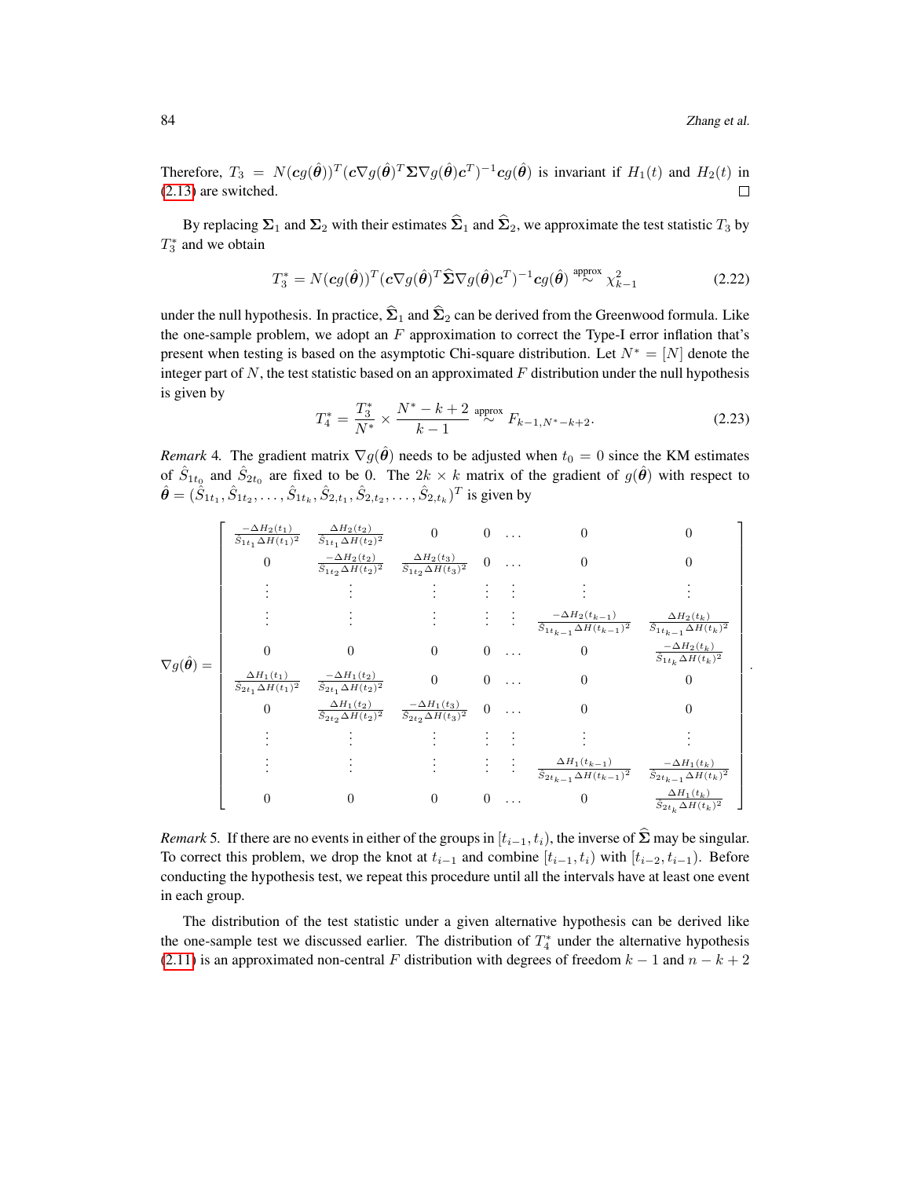.

Therefore,  $T_3 = N(cg(\hat{\theta}))^T (c\nabla g(\hat{\theta})^T \Sigma \nabla g(\hat{\theta}) c^T)^{-1} c g(\hat{\theta})$  is invariant if  $H_1(t)$  and  $H_2(t)$  in [\(2.13\)](#page-6-0) are switched.  $\Box$ 

By replacing  $\Sigma_1$  and  $\Sigma_2$  with their estimates  $\widehat{\Sigma}_1$  and  $\widehat{\Sigma}_2$ , we approximate the test statistic  $T_3$  by  $T_3^*$  and we obtain

$$
T_3^* = N(cg(\hat{\boldsymbol{\theta}}))^T (c\nabla g(\hat{\boldsymbol{\theta}})^T \widehat{\boldsymbol{\Sigma}} \nabla g(\hat{\boldsymbol{\theta}}) c^T)^{-1} c g(\hat{\boldsymbol{\theta}})^{\text{ approx}} \chi^2_{k-1}
$$
(2.22)

under the null hypothesis. In practice,  $\hat{\Sigma}_1$  and  $\hat{\Sigma}_2$  can be derived from the Greenwood formula. Like the one-sample problem, we adopt an  $F$  approximation to correct the Type-I error inflation that's present when testing is based on the asymptotic Chi-square distribution. Let  $N^* = [N]$  denote the integer part of  $N$ , the test statistic based on an approximated  $F$  distribution under the null hypothesis is given by

<span id="page-9-0"></span>
$$
T_4^* = \frac{T_3^*}{N^*} \times \frac{N^* - k + 2}{k - 1} \stackrel{\text{approx}}{\sim} F_{k - 1, N^* - k + 2}.
$$
 (2.23)

*Remark* 4. The gradient matrix  $\nabla g(\theta)$  needs to be adjusted when  $t_0 = 0$  since the KM estimates of  $\hat{S}_{1t_0}$  and  $\hat{S}_{2t_0}$  are fixed to be 0. The  $2k \times k$  matrix of the gradient of  $g(\hat{\theta})$  with respect to  $\hat{\bm{\theta}} = (\hat{\dot{S}}_{1t_1}, \hat{S}_{1t_2}, \dots, \hat{S}_{1t_k}, \hat{S}_{2,t_1}, \hat{S}_{2,t_2}, \dots, \hat{S}_{2,t_k})^T$  is given by

$$
\nabla g(\hat{\theta}) = \begin{bmatrix}\n\frac{-\Delta H_2(t_1)}{\hat{S}_{1t_1}\Delta H(t_1)^2} & \frac{\Delta H_2(t_2)}{\hat{S}_{1t_1}\Delta H(t_2)^2} & 0 & 0 & \dots & 0 & 0 \\
0 & \frac{-\Delta H_2(t_2)}{\hat{S}_{1t_2}\Delta H(t_2)^2} & \frac{\Delta H_2(t_3)}{\hat{S}_{1t_2}\Delta H(t_3)^2} & 0 & \dots & 0 & 0 \\
\vdots & \vdots & \vdots & \vdots & \vdots & \vdots & \vdots \\
\vdots & \vdots & \vdots & \vdots & \vdots & \vdots \\
0 & 0 & 0 & 0 & \dots & 0 & \frac{-\Delta H_2(t_{k-1})}{\hat{S}_{1t_{k-1}\Delta H(t_{k-1})^2}} & \frac{\Delta H_2(t_k)}{\hat{S}_{1t_k}\Delta H(t_k)^2} \\
\frac{\Delta H_1(t_1)}{\hat{S}_{2t_1}\Delta H(t_1)^2} & \frac{-\Delta H_1(t_2)}{\hat{S}_{2t_1}\Delta H(t_2)^2} & 0 & 0 & \dots & 0 & 0 \\
0 & \frac{\Delta H_1(t_2)}{\hat{S}_{2t_2}\Delta H(t_2)^2} & \frac{-\Delta H_1(t_3)}{\hat{S}_{2t_2}\Delta H(t_3)^2} & 0 & \dots & 0 & 0 \\
\vdots & \vdots & \vdots & \vdots & \vdots & \vdots & \vdots \\
\vdots & \vdots & \vdots & \vdots & \vdots & \vdots \\
\vdots & \vdots & \vdots & \vdots & \vdots & \vdots \\
\vdots & \vdots & \vdots & \vdots & \vdots & \vdots \\
\vdots & \vdots & \vdots & \vdots & \vdots & \vdots \\
\frac{\Delta H_1(t_{k-1})}{\hat{S}_{2t_{k-1}\Delta H(t_{k-1})^2}} & \frac{\Delta H_1(t_k)}{\hat{S}_{2t_{k-1}\Delta H(t_k)^2}}\n\end{bmatrix}
$$

*Remark* 5. If there are no events in either of the groups in  $[t_{i-1}, t_i)$ , the inverse of  $\Sigma$  may be singular. To correct this problem, we drop the knot at  $t_{i-1}$  and combine  $[t_{i-1}, t_i)$  with  $[t_{i-2}, t_{i-1})$ . Before conducting the hypothesis test, we repeat this procedure until all the intervals have at least one event in each group.

The distribution of the test statistic under a given alternative hypothesis can be derived like the one-sample test we discussed earlier. The distribution of  $T_4^*$  under the alternative hypothesis [\(2.11\)](#page-6-1) is an approximated non-central F distribution with degrees of freedom  $k - 1$  and  $n - k + 2$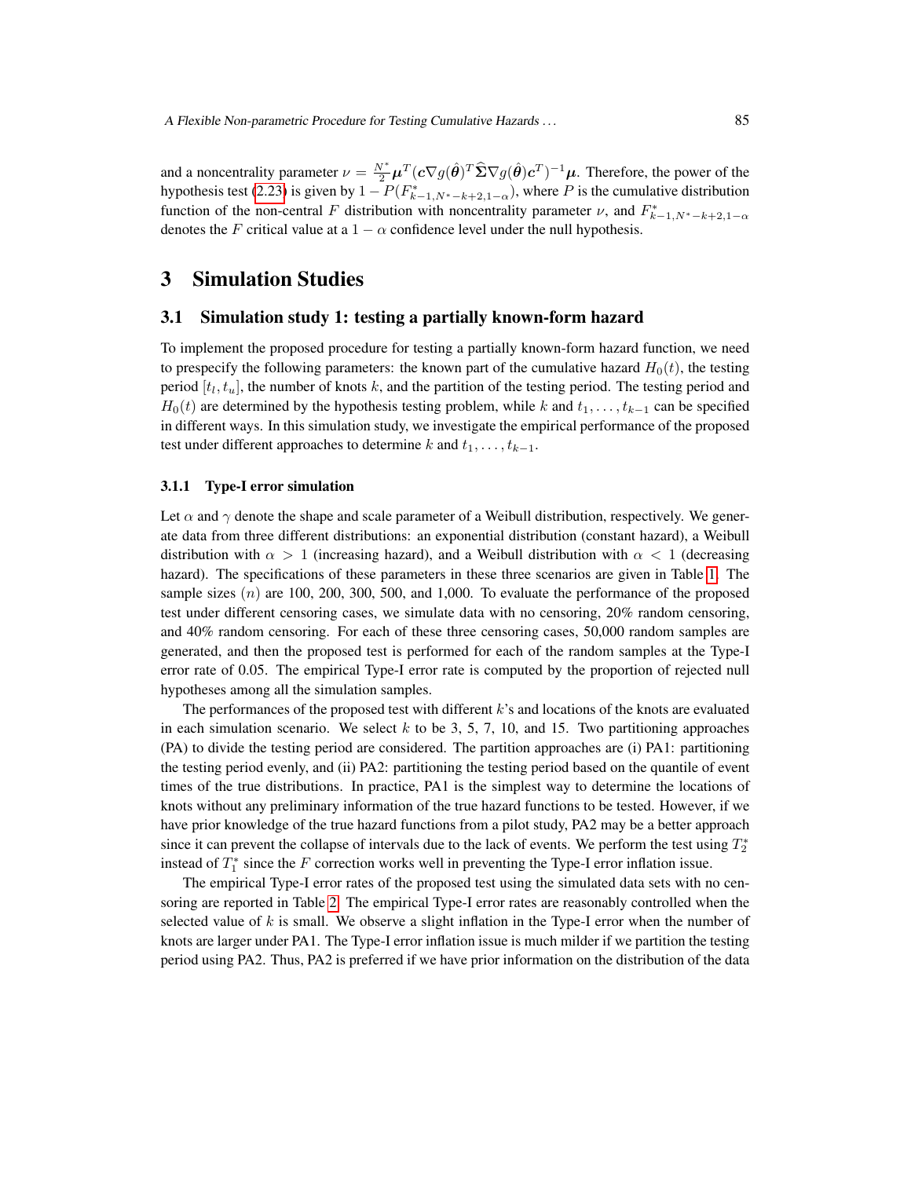and a noncentrality parameter  $\nu = \frac{N^*}{2} \mu^T (c \nabla g(\hat{\theta})^T \hat{\Sigma} \nabla g(\hat{\theta}) c^T)^{-1} \mu$ . Therefore, the power of the hypothesis test [\(2.23\)](#page-9-0) is given by  $1 - P(F_{k-1,N^*-k+2,1-\alpha}^*)$ , where P is the cumulative distribution function of the non-central F distribution with noncentrality parameter  $\nu$ , and  $F_{k-1,N^*-k+2,1-\alpha}^*$ denotes the F critical value at a  $1 - \alpha$  confidence level under the null hypothesis.

# 3 Simulation Studies

## 3.1 Simulation study 1: testing a partially known-form hazard

To implement the proposed procedure for testing a partially known-form hazard function, we need to prespecify the following parameters: the known part of the cumulative hazard  $H_0(t)$ , the testing period  $[t_l, t_u]$ , the number of knots k, and the partition of the testing period. The testing period and  $H_0(t)$  are determined by the hypothesis testing problem, while k and  $t_1, \ldots, t_{k-1}$  can be specified in different ways. In this simulation study, we investigate the empirical performance of the proposed test under different approaches to determine k and  $t_1, \ldots, t_{k-1}$ .

#### 3.1.1 Type-I error simulation

Let  $\alpha$  and  $\gamma$  denote the shape and scale parameter of a Weibull distribution, respectively. We generate data from three different distributions: an exponential distribution (constant hazard), a Weibull distribution with  $\alpha > 1$  (increasing hazard), and a Weibull distribution with  $\alpha < 1$  (decreasing hazard). The specifications of these parameters in these three scenarios are given in Table [1.](#page-11-0) The sample sizes  $(n)$  are 100, 200, 300, 500, and 1,000. To evaluate the performance of the proposed test under different censoring cases, we simulate data with no censoring, 20% random censoring, and 40% random censoring. For each of these three censoring cases, 50,000 random samples are generated, and then the proposed test is performed for each of the random samples at the Type-I error rate of 0.05. The empirical Type-I error rate is computed by the proportion of rejected null hypotheses among all the simulation samples.

The performances of the proposed test with different  $k$ 's and locations of the knots are evaluated in each simulation scenario. We select  $k$  to be 3, 5, 7, 10, and 15. Two partitioning approaches (PA) to divide the testing period are considered. The partition approaches are (i) PA1: partitioning the testing period evenly, and (ii) PA2: partitioning the testing period based on the quantile of event times of the true distributions. In practice, PA1 is the simplest way to determine the locations of knots without any preliminary information of the true hazard functions to be tested. However, if we have prior knowledge of the true hazard functions from a pilot study, PA2 may be a better approach since it can prevent the collapse of intervals due to the lack of events. We perform the test using  $T_2^*$ instead of  $T_1^*$  since the F correction works well in preventing the Type-I error inflation issue.

The empirical Type-I error rates of the proposed test using the simulated data sets with no censoring are reported in Table [2.](#page-12-0) The empirical Type-I error rates are reasonably controlled when the selected value of  $k$  is small. We observe a slight inflation in the Type-I error when the number of knots are larger under PA1. The Type-I error inflation issue is much milder if we partition the testing period using PA2. Thus, PA2 is preferred if we have prior information on the distribution of the data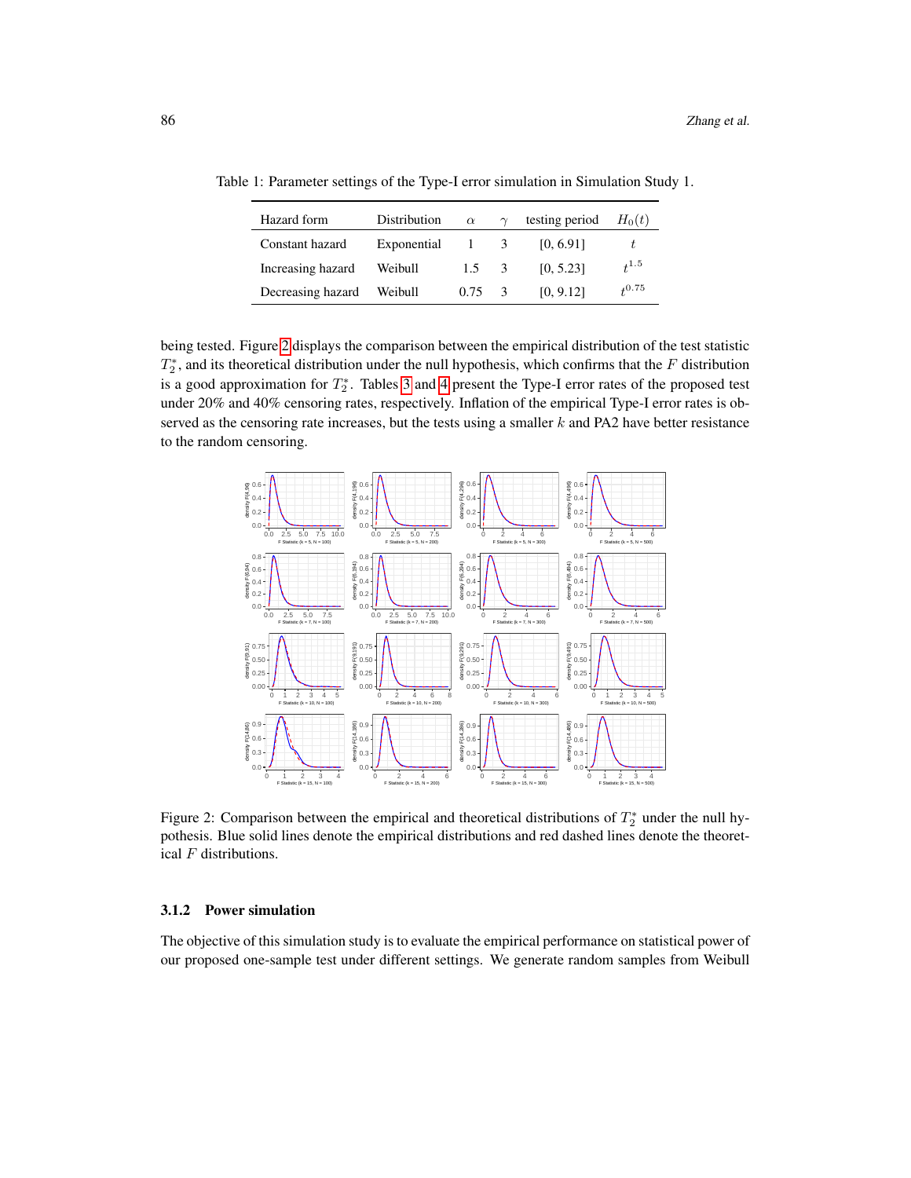<span id="page-11-0"></span>

| Hazard form       | Distribution | $\alpha$       | $\gamma$ | testing period | $H_0(t)$  |
|-------------------|--------------|----------------|----------|----------------|-----------|
| Constant hazard   | Exponential  | $1 \quad 3$    |          | [0, 6.91]      |           |
| Increasing hazard | Weibull      | $1.5 \quad 3$  |          | [0, 5.23]      | $t^{1.5}$ |
| Decreasing hazard | Weibull      | $0.75 \quad 3$ |          | [0, 9.12]      | 40.75     |

Table 1: Parameter settings of the Type-I error simulation in Simulation Study 1.

being tested. Figure [2](#page-11-1) displays the comparison between the empirical distribution of the test statistic  $T_2^*$ , and its theoretical distribution under the null hypothesis, which confirms that the F distribution is a good approximation for  $T_2^*$ . Tables [3](#page-13-0) and [4](#page-14-0) present the Type-I error rates of the proposed test under 20% and 40% censoring rates, respectively. Inflation of the empirical Type-I error rates is observed as the censoring rate increases, but the tests using a smaller  $k$  and PA2 have better resistance to the random censoring.



<span id="page-11-1"></span>Figure 2: Comparison between the empirical and theoretical distributions of  $T_2^*$  under the null hypothesis. Blue solid lines denote the empirical distributions and red dashed lines denote the theoretical F distributions.

## 3.1.2 Power simulation

The objective of this simulation study is to evaluate the empirical performance on statistical power of our proposed one-sample test under different settings. We generate random samples from Weibull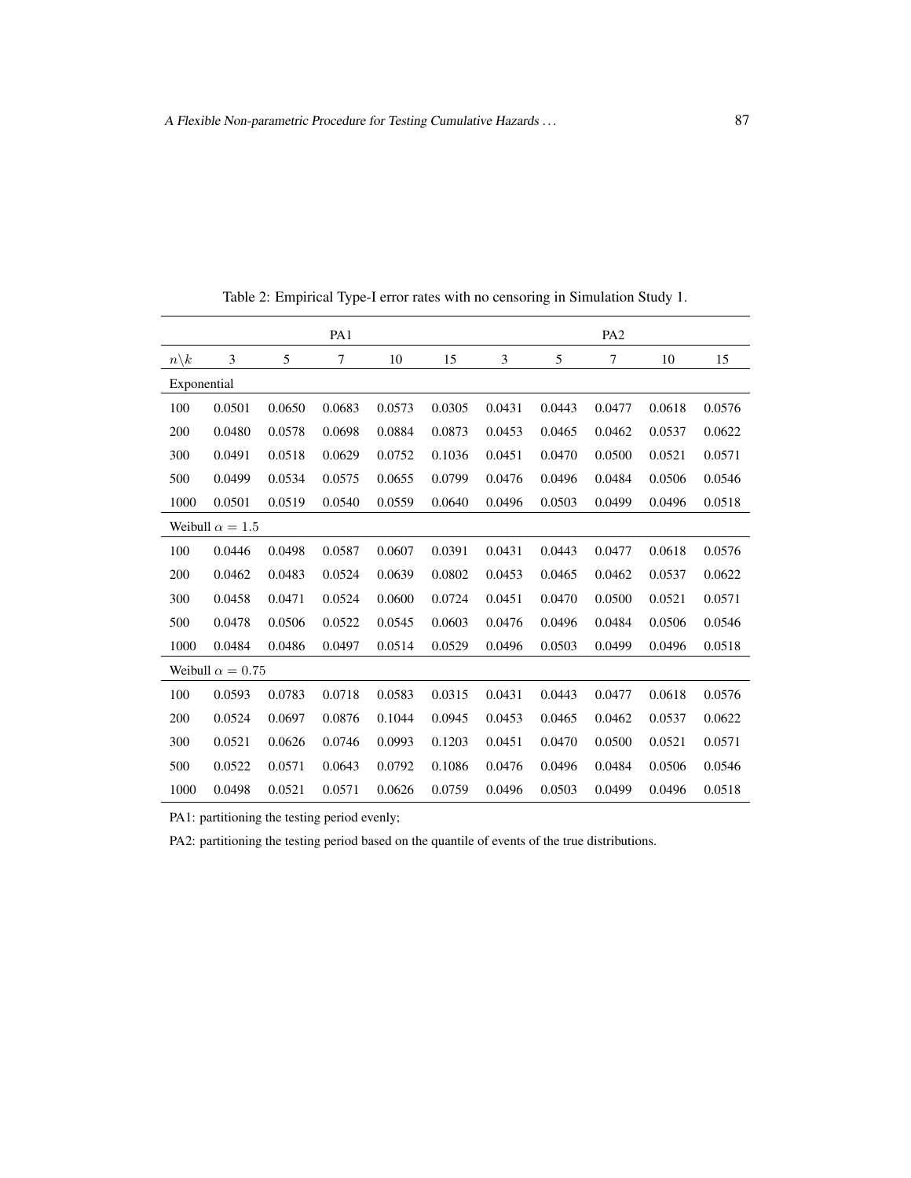|                 |                         |        | PA1            |        |        |        |        | PA <sub>2</sub> |        |        |
|-----------------|-------------------------|--------|----------------|--------|--------|--------|--------|-----------------|--------|--------|
| $n\backslash k$ | 3                       | 5      | $\overline{7}$ | 10     | 15     | 3      | 5      | $\tau$          | 10     | 15     |
| Exponential     |                         |        |                |        |        |        |        |                 |        |        |
| 100             | 0.0501                  | 0.0650 | 0.0683         | 0.0573 | 0.0305 | 0.0431 | 0.0443 | 0.0477          | 0.0618 | 0.0576 |
| 200             | 0.0480                  | 0.0578 | 0.0698         | 0.0884 | 0.0873 | 0.0453 | 0.0465 | 0.0462          | 0.0537 | 0.0622 |
| 300             | 0.0491                  | 0.0518 | 0.0629         | 0.0752 | 0.1036 | 0.0451 | 0.0470 | 0.0500          | 0.0521 | 0.0571 |
| 500             | 0.0499                  | 0.0534 | 0.0575         | 0.0655 | 0.0799 | 0.0476 | 0.0496 | 0.0484          | 0.0506 | 0.0546 |
| 1000            | 0.0501                  | 0.0519 | 0.0540         | 0.0559 | 0.0640 | 0.0496 | 0.0503 | 0.0499          | 0.0496 | 0.0518 |
|                 | Weibull $\alpha = 1.5$  |        |                |        |        |        |        |                 |        |        |
| 100             | 0.0446                  | 0.0498 | 0.0587         | 0.0607 | 0.0391 | 0.0431 | 0.0443 | 0.0477          | 0.0618 | 0.0576 |
| 200             | 0.0462                  | 0.0483 | 0.0524         | 0.0639 | 0.0802 | 0.0453 | 0.0465 | 0.0462          | 0.0537 | 0.0622 |
| 300             | 0.0458                  | 0.0471 | 0.0524         | 0.0600 | 0.0724 | 0.0451 | 0.0470 | 0.0500          | 0.0521 | 0.0571 |
| 500             | 0.0478                  | 0.0506 | 0.0522         | 0.0545 | 0.0603 | 0.0476 | 0.0496 | 0.0484          | 0.0506 | 0.0546 |
| 1000            | 0.0484                  | 0.0486 | 0.0497         | 0.0514 | 0.0529 | 0.0496 | 0.0503 | 0.0499          | 0.0496 | 0.0518 |
|                 | Weibull $\alpha = 0.75$ |        |                |        |        |        |        |                 |        |        |
| 100             | 0.0593                  | 0.0783 | 0.0718         | 0.0583 | 0.0315 | 0.0431 | 0.0443 | 0.0477          | 0.0618 | 0.0576 |
| 200             | 0.0524                  | 0.0697 | 0.0876         | 0.1044 | 0.0945 | 0.0453 | 0.0465 | 0.0462          | 0.0537 | 0.0622 |
| 300             | 0.0521                  | 0.0626 | 0.0746         | 0.0993 | 0.1203 | 0.0451 | 0.0470 | 0.0500          | 0.0521 | 0.0571 |
| 500             | 0.0522                  | 0.0571 | 0.0643         | 0.0792 | 0.1086 | 0.0476 | 0.0496 | 0.0484          | 0.0506 | 0.0546 |
| 1000            | 0.0498                  | 0.0521 | 0.0571         | 0.0626 | 0.0759 | 0.0496 | 0.0503 | 0.0499          | 0.0496 | 0.0518 |

<span id="page-12-0"></span>Table 2: Empirical Type-I error rates with no censoring in Simulation Study 1.

PA2: partitioning the testing period based on the quantile of events of the true distributions.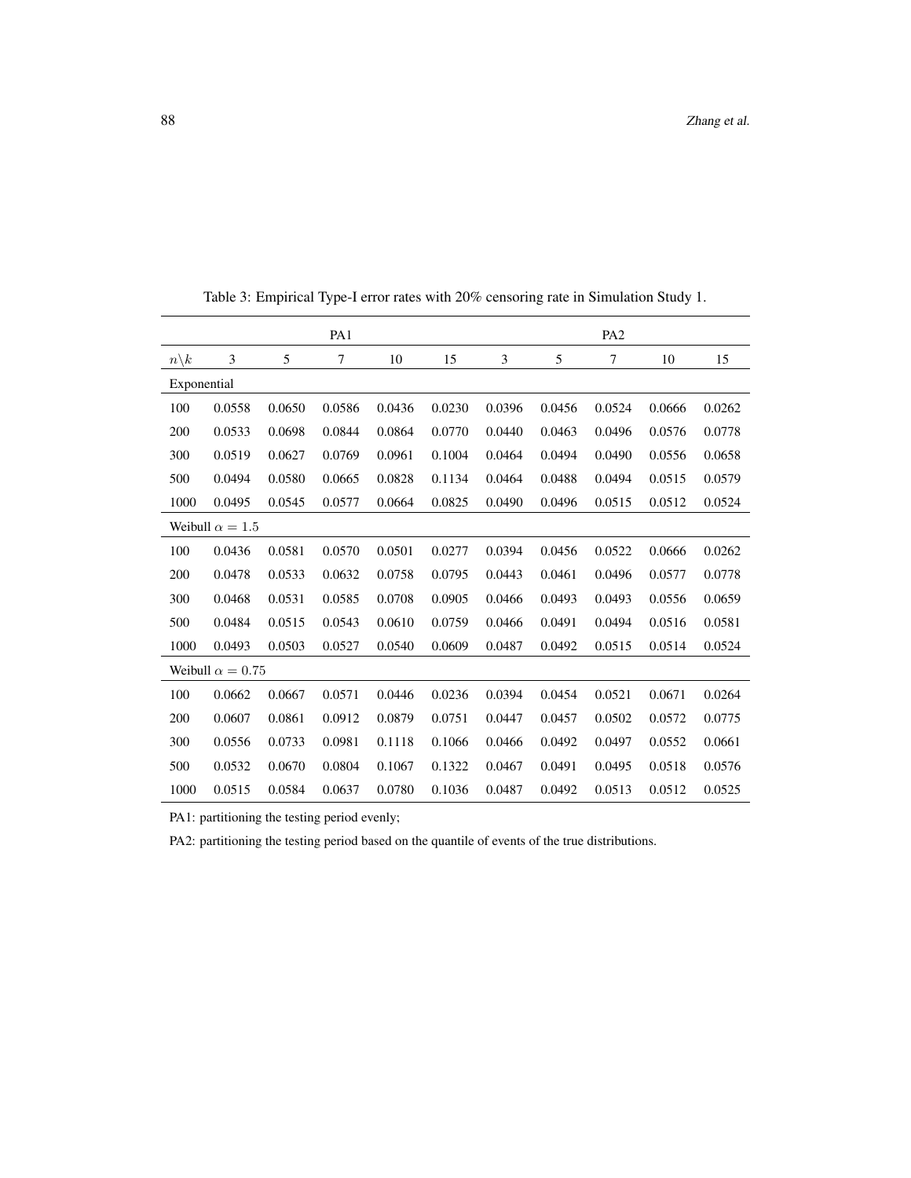|                 |                         |        | PA1    |        |        |        |        | PA <sub>2</sub> |        |        |
|-----------------|-------------------------|--------|--------|--------|--------|--------|--------|-----------------|--------|--------|
| $n\backslash k$ | 3                       | 5      | 7      | 10     | 15     | 3      | 5      | 7               | 10     | 15     |
| Exponential     |                         |        |        |        |        |        |        |                 |        |        |
| 100             | 0.0558                  | 0.0650 | 0.0586 | 0.0436 | 0.0230 | 0.0396 | 0.0456 | 0.0524          | 0.0666 | 0.0262 |
| 200             | 0.0533                  | 0.0698 | 0.0844 | 0.0864 | 0.0770 | 0.0440 | 0.0463 | 0.0496          | 0.0576 | 0.0778 |
| 300             | 0.0519                  | 0.0627 | 0.0769 | 0.0961 | 0.1004 | 0.0464 | 0.0494 | 0.0490          | 0.0556 | 0.0658 |
| 500             | 0.0494                  | 0.0580 | 0.0665 | 0.0828 | 0.1134 | 0.0464 | 0.0488 | 0.0494          | 0.0515 | 0.0579 |
| 1000            | 0.0495                  | 0.0545 | 0.0577 | 0.0664 | 0.0825 | 0.0490 | 0.0496 | 0.0515          | 0.0512 | 0.0524 |
|                 | Weibull $\alpha = 1.5$  |        |        |        |        |        |        |                 |        |        |
| 100             | 0.0436                  | 0.0581 | 0.0570 | 0.0501 | 0.0277 | 0.0394 | 0.0456 | 0.0522          | 0.0666 | 0.0262 |
| 200             | 0.0478                  | 0.0533 | 0.0632 | 0.0758 | 0.0795 | 0.0443 | 0.0461 | 0.0496          | 0.0577 | 0.0778 |
| 300             | 0.0468                  | 0.0531 | 0.0585 | 0.0708 | 0.0905 | 0.0466 | 0.0493 | 0.0493          | 0.0556 | 0.0659 |
| 500             | 0.0484                  | 0.0515 | 0.0543 | 0.0610 | 0.0759 | 0.0466 | 0.0491 | 0.0494          | 0.0516 | 0.0581 |
| 1000            | 0.0493                  | 0.0503 | 0.0527 | 0.0540 | 0.0609 | 0.0487 | 0.0492 | 0.0515          | 0.0514 | 0.0524 |
|                 | Weibull $\alpha = 0.75$ |        |        |        |        |        |        |                 |        |        |
| 100             | 0.0662                  | 0.0667 | 0.0571 | 0.0446 | 0.0236 | 0.0394 | 0.0454 | 0.0521          | 0.0671 | 0.0264 |
| 200             | 0.0607                  | 0.0861 | 0.0912 | 0.0879 | 0.0751 | 0.0447 | 0.0457 | 0.0502          | 0.0572 | 0.0775 |
| 300             | 0.0556                  | 0.0733 | 0.0981 | 0.1118 | 0.1066 | 0.0466 | 0.0492 | 0.0497          | 0.0552 | 0.0661 |
| 500             | 0.0532                  | 0.0670 | 0.0804 | 0.1067 | 0.1322 | 0.0467 | 0.0491 | 0.0495          | 0.0518 | 0.0576 |
| 1000            | 0.0515                  | 0.0584 | 0.0637 | 0.0780 | 0.1036 | 0.0487 | 0.0492 | 0.0513          | 0.0512 | 0.0525 |

<span id="page-13-0"></span>Table 3: Empirical Type-I error rates with 20% censoring rate in Simulation Study 1.

PA2: partitioning the testing period based on the quantile of events of the true distributions.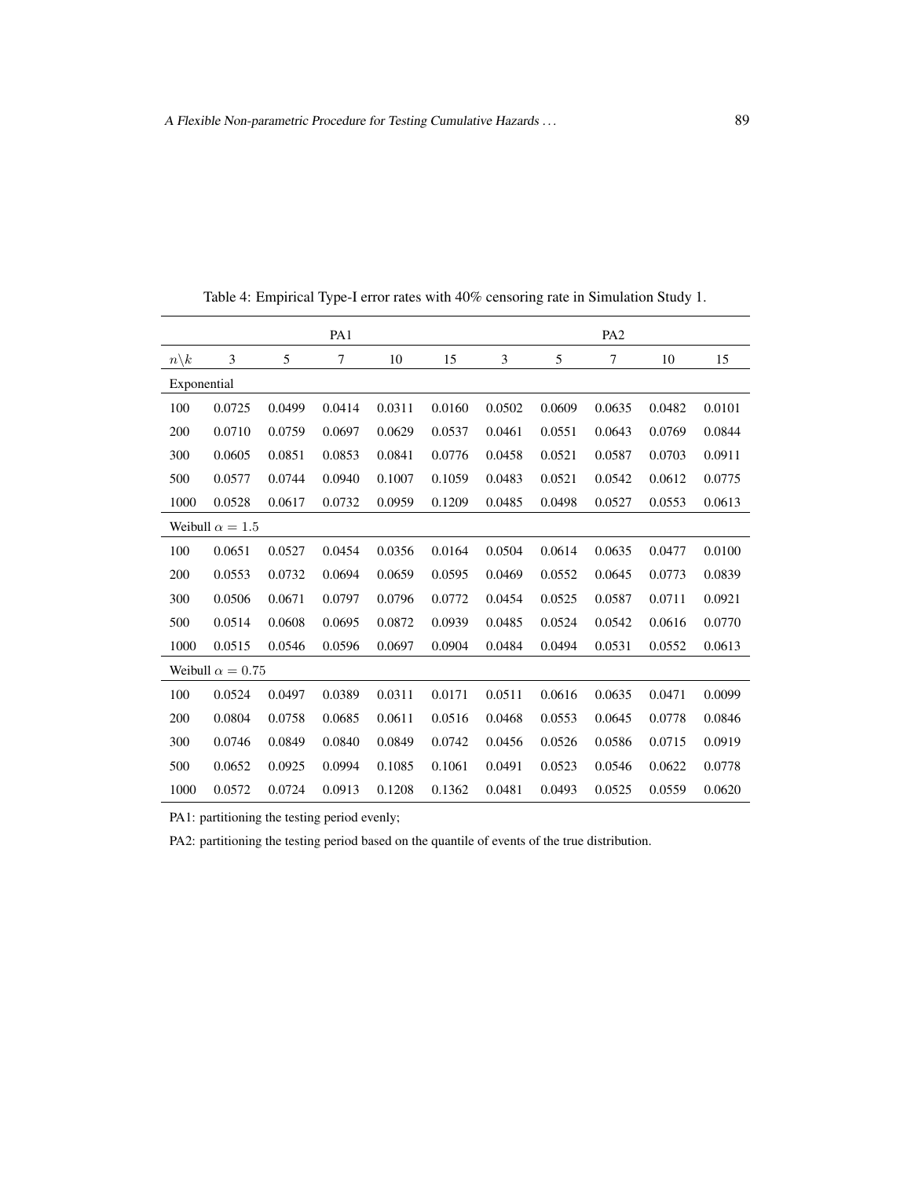|                 |                         |        | PA1    |        |        |        |        | PA <sub>2</sub> |        |        |
|-----------------|-------------------------|--------|--------|--------|--------|--------|--------|-----------------|--------|--------|
| $n\backslash k$ | 3                       | 5      | 7      | 10     | 15     | 3      | 5      | 7               | 10     | 15     |
| Exponential     |                         |        |        |        |        |        |        |                 |        |        |
| 100             | 0.0725                  | 0.0499 | 0.0414 | 0.0311 | 0.0160 | 0.0502 | 0.0609 | 0.0635          | 0.0482 | 0.0101 |
| 200             | 0.0710                  | 0.0759 | 0.0697 | 0.0629 | 0.0537 | 0.0461 | 0.0551 | 0.0643          | 0.0769 | 0.0844 |
| 300             | 0.0605                  | 0.0851 | 0.0853 | 0.0841 | 0.0776 | 0.0458 | 0.0521 | 0.0587          | 0.0703 | 0.0911 |
| 500             | 0.0577                  | 0.0744 | 0.0940 | 0.1007 | 0.1059 | 0.0483 | 0.0521 | 0.0542          | 0.0612 | 0.0775 |
| 1000            | 0.0528                  | 0.0617 | 0.0732 | 0.0959 | 0.1209 | 0.0485 | 0.0498 | 0.0527          | 0.0553 | 0.0613 |
|                 | Weibull $\alpha = 1.5$  |        |        |        |        |        |        |                 |        |        |
| 100             | 0.0651                  | 0.0527 | 0.0454 | 0.0356 | 0.0164 | 0.0504 | 0.0614 | 0.0635          | 0.0477 | 0.0100 |
| 200             | 0.0553                  | 0.0732 | 0.0694 | 0.0659 | 0.0595 | 0.0469 | 0.0552 | 0.0645          | 0.0773 | 0.0839 |
| 300             | 0.0506                  | 0.0671 | 0.0797 | 0.0796 | 0.0772 | 0.0454 | 0.0525 | 0.0587          | 0.0711 | 0.0921 |
| 500             | 0.0514                  | 0.0608 | 0.0695 | 0.0872 | 0.0939 | 0.0485 | 0.0524 | 0.0542          | 0.0616 | 0.0770 |
| 1000            | 0.0515                  | 0.0546 | 0.0596 | 0.0697 | 0.0904 | 0.0484 | 0.0494 | 0.0531          | 0.0552 | 0.0613 |
|                 | Weibull $\alpha = 0.75$ |        |        |        |        |        |        |                 |        |        |
| 100             | 0.0524                  | 0.0497 | 0.0389 | 0.0311 | 0.0171 | 0.0511 | 0.0616 | 0.0635          | 0.0471 | 0.0099 |
| 200             | 0.0804                  | 0.0758 | 0.0685 | 0.0611 | 0.0516 | 0.0468 | 0.0553 | 0.0645          | 0.0778 | 0.0846 |
| 300             | 0.0746                  | 0.0849 | 0.0840 | 0.0849 | 0.0742 | 0.0456 | 0.0526 | 0.0586          | 0.0715 | 0.0919 |
| 500             | 0.0652                  | 0.0925 | 0.0994 | 0.1085 | 0.1061 | 0.0491 | 0.0523 | 0.0546          | 0.0622 | 0.0778 |
| 1000            | 0.0572                  | 0.0724 | 0.0913 | 0.1208 | 0.1362 | 0.0481 | 0.0493 | 0.0525          | 0.0559 | 0.0620 |

<span id="page-14-0"></span>Table 4: Empirical Type-I error rates with 40% censoring rate in Simulation Study 1.

PA2: partitioning the testing period based on the quantile of events of the true distribution.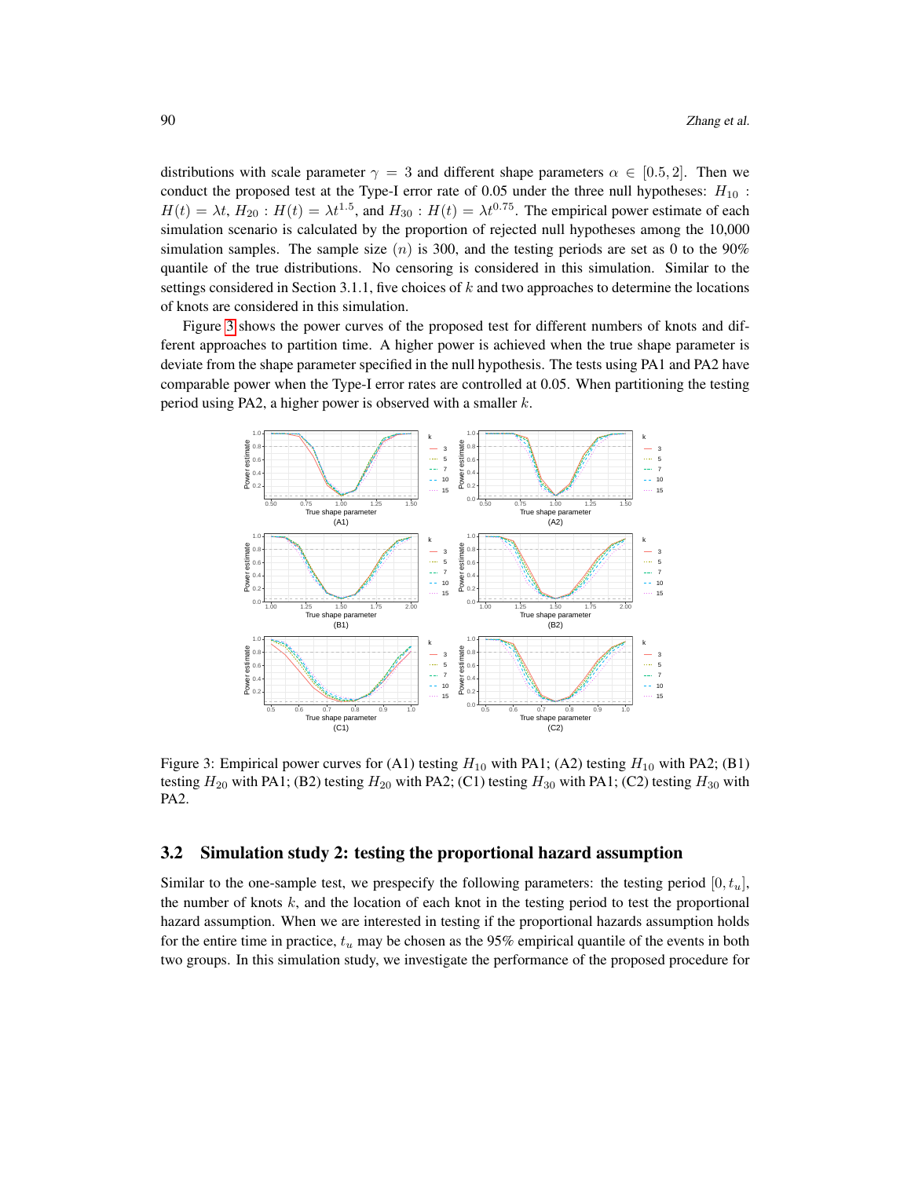distributions with scale parameter  $\gamma = 3$  and different shape parameters  $\alpha \in [0.5, 2]$ . Then we conduct the proposed test at the Type-I error rate of 0.05 under the three null hypotheses:  $H_{10}$ :  $H(t) = \lambda t$ ,  $H_{20}$ :  $H(t) = \lambda t^{1.5}$ , and  $H_{30}$ :  $H(t) = \lambda t^{0.75}$ . The empirical power estimate of each simulation scenario is calculated by the proportion of rejected null hypotheses among the 10,000 simulation samples. The sample size  $(n)$  is 300, and the testing periods are set as 0 to the 90% quantile of the true distributions. No censoring is considered in this simulation. Similar to the settings considered in Section 3.1.1, five choices of  $k$  and two approaches to determine the locations of knots are considered in this simulation.

Figure [3](#page-15-0) shows the power curves of the proposed test for different numbers of knots and different approaches to partition time. A higher power is achieved when the true shape parameter is deviate from the shape parameter specified in the null hypothesis. The tests using PA1 and PA2 have comparable power when the Type-I error rates are controlled at 0.05. When partitioning the testing period using PA2, a higher power is observed with a smaller k.



<span id="page-15-0"></span>Figure 3: Empirical power curves for (A1) testing  $H_{10}$  with PA1; (A2) testing  $H_{10}$  with PA2; (B1) testing  $H_{20}$  with PA1; (B2) testing  $H_{20}$  with PA2; (C1) testing  $H_{30}$  with PA1; (C2) testing  $H_{30}$  with PA2.

## 3.2 Simulation study 2: testing the proportional hazard assumption

Similar to the one-sample test, we prespecify the following parameters: the testing period  $[0, t_u]$ , the number of knots  $k$ , and the location of each knot in the testing period to test the proportional hazard assumption. When we are interested in testing if the proportional hazards assumption holds for the entire time in practice,  $t_u$  may be chosen as the 95% empirical quantile of the events in both two groups. In this simulation study, we investigate the performance of the proposed procedure for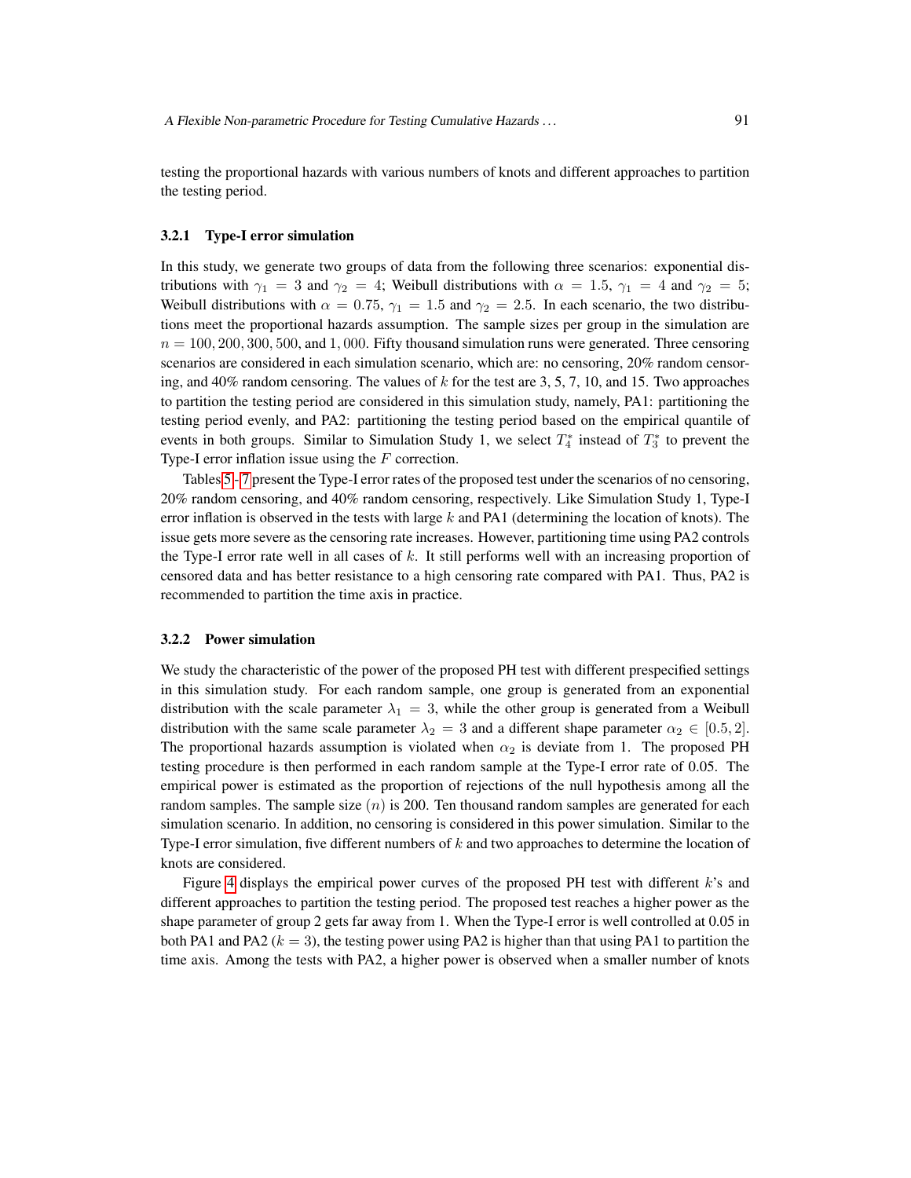#### 3.2.1 Type-I error simulation

In this study, we generate two groups of data from the following three scenarios: exponential distributions with  $\gamma_1 = 3$  and  $\gamma_2 = 4$ ; Weibull distributions with  $\alpha = 1.5$ ,  $\gamma_1 = 4$  and  $\gamma_2 = 5$ ; Weibull distributions with  $\alpha = 0.75$ ,  $\gamma_1 = 1.5$  and  $\gamma_2 = 2.5$ . In each scenario, the two distributions meet the proportional hazards assumption. The sample sizes per group in the simulation are  $n = 100, 200, 300, 500,$  and 1,000. Fifty thousand simulation runs were generated. Three censoring scenarios are considered in each simulation scenario, which are: no censoring, 20% random censoring, and 40% random censoring. The values of  $k$  for the test are 3, 5, 7, 10, and 15. Two approaches to partition the testing period are considered in this simulation study, namely, PA1: partitioning the testing period evenly, and PA2: partitioning the testing period based on the empirical quantile of events in both groups. Similar to Simulation Study 1, we select  $T_4^*$  instead of  $T_3^*$  to prevent the Type-I error inflation issue using the  $F$  correction.

Tables [5](#page-17-0) - [7](#page-19-0) present the Type-I error rates of the proposed test under the scenarios of no censoring, 20% random censoring, and 40% random censoring, respectively. Like Simulation Study 1, Type-I error inflation is observed in the tests with large k and PA1 (determining the location of knots). The issue gets more severe as the censoring rate increases. However, partitioning time using PA2 controls the Type-I error rate well in all cases of  $k$ . It still performs well with an increasing proportion of censored data and has better resistance to a high censoring rate compared with PA1. Thus, PA2 is recommended to partition the time axis in practice.

#### 3.2.2 Power simulation

We study the characteristic of the power of the proposed PH test with different prespecified settings in this simulation study. For each random sample, one group is generated from an exponential distribution with the scale parameter  $\lambda_1 = 3$ , while the other group is generated from a Weibull distribution with the same scale parameter  $\lambda_2 = 3$  and a different shape parameter  $\alpha_2 \in [0.5, 2]$ . The proportional hazards assumption is violated when  $\alpha_2$  is deviate from 1. The proposed PH testing procedure is then performed in each random sample at the Type-I error rate of 0.05. The empirical power is estimated as the proportion of rejections of the null hypothesis among all the random samples. The sample size  $(n)$  is 200. Ten thousand random samples are generated for each simulation scenario. In addition, no censoring is considered in this power simulation. Similar to the Type-I error simulation, five different numbers of  $k$  and two approaches to determine the location of knots are considered.

Figure [4](#page-20-0) displays the empirical power curves of the proposed PH test with different k's and different approaches to partition the testing period. The proposed test reaches a higher power as the shape parameter of group 2 gets far away from 1. When the Type-I error is well controlled at 0.05 in both PA1 and PA2 ( $k = 3$ ), the testing power using PA2 is higher than that using PA1 to partition the time axis. Among the tests with PA2, a higher power is observed when a smaller number of knots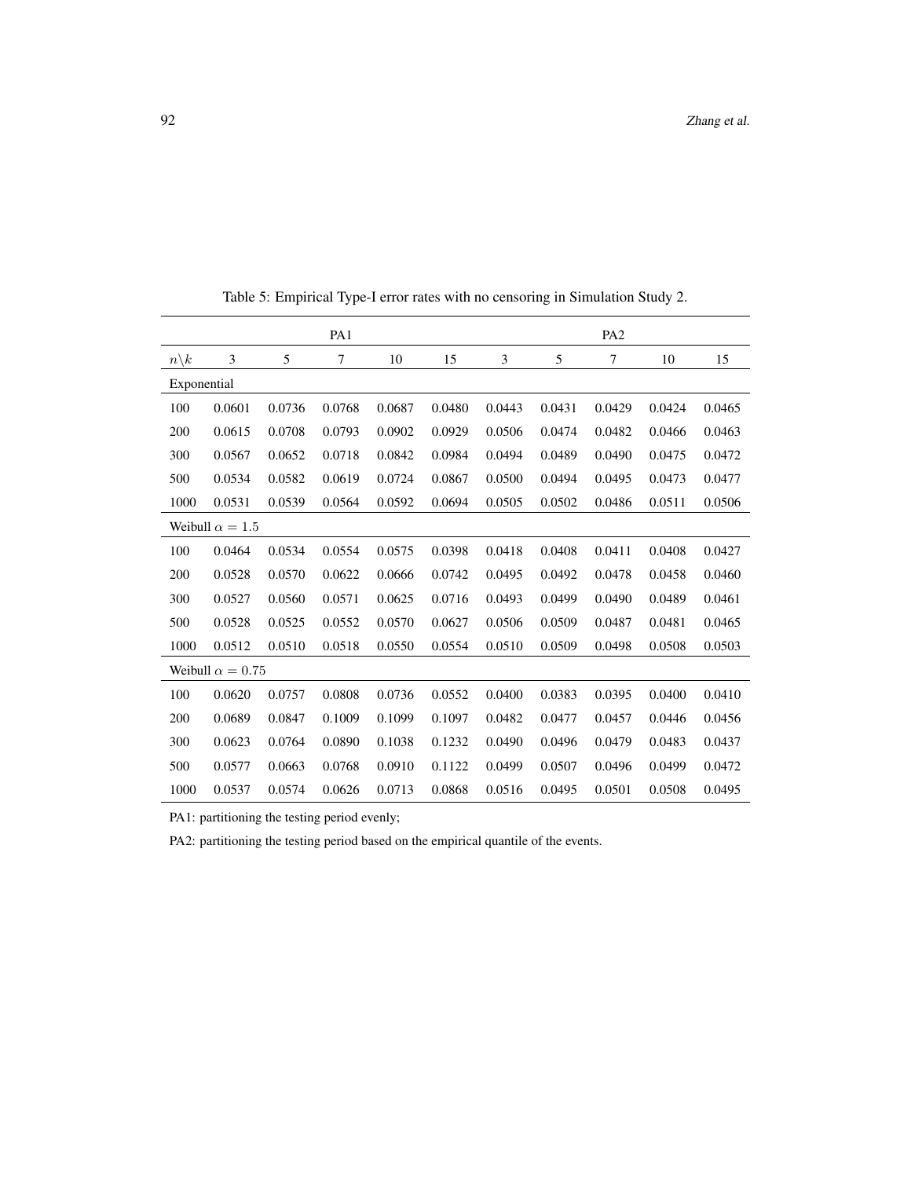|                  |                         |        | PA1    |        |        |        |        | PA <sub>2</sub> |        |        |
|------------------|-------------------------|--------|--------|--------|--------|--------|--------|-----------------|--------|--------|
| $n \backslash k$ | 3                       | 5      | 7      | 10     | 15     | 3      | 5      | 7               | 10     | 15     |
| Exponential      |                         |        |        |        |        |        |        |                 |        |        |
| 100              | 0.0601                  | 0.0736 | 0.0768 | 0.0687 | 0.0480 | 0.0443 | 0.0431 | 0.0429          | 0.0424 | 0.0465 |
| 200              | 0.0615                  | 0.0708 | 0.0793 | 0.0902 | 0.0929 | 0.0506 | 0.0474 | 0.0482          | 0.0466 | 0.0463 |
| 300              | 0.0567                  | 0.0652 | 0.0718 | 0.0842 | 0.0984 | 0.0494 | 0.0489 | 0.0490          | 0.0475 | 0.0472 |
| 500              | 0.0534                  | 0.0582 | 0.0619 | 0.0724 | 0.0867 | 0.0500 | 0.0494 | 0.0495          | 0.0473 | 0.0477 |
| 1000             | 0.0531                  | 0.0539 | 0.0564 | 0.0592 | 0.0694 | 0.0505 | 0.0502 | 0.0486          | 0.0511 | 0.0506 |
|                  | Weibull $\alpha = 1.5$  |        |        |        |        |        |        |                 |        |        |
| 100              | 0.0464                  | 0.0534 | 0.0554 | 0.0575 | 0.0398 | 0.0418 | 0.0408 | 0.0411          | 0.0408 | 0.0427 |
| 200              | 0.0528                  | 0.0570 | 0.0622 | 0.0666 | 0.0742 | 0.0495 | 0.0492 | 0.0478          | 0.0458 | 0.0460 |
| 300              | 0.0527                  | 0.0560 | 0.0571 | 0.0625 | 0.0716 | 0.0493 | 0.0499 | 0.0490          | 0.0489 | 0.0461 |
| 500              | 0.0528                  | 0.0525 | 0.0552 | 0.0570 | 0.0627 | 0.0506 | 0.0509 | 0.0487          | 0.0481 | 0.0465 |
| 1000             | 0.0512                  | 0.0510 | 0.0518 | 0.0550 | 0.0554 | 0.0510 | 0.0509 | 0.0498          | 0.0508 | 0.0503 |
|                  | Weibull $\alpha = 0.75$ |        |        |        |        |        |        |                 |        |        |
| 100              | 0.0620                  | 0.0757 | 0.0808 | 0.0736 | 0.0552 | 0.0400 | 0.0383 | 0.0395          | 0.0400 | 0.0410 |
| 200              | 0.0689                  | 0.0847 | 0.1009 | 0.1099 | 0.1097 | 0.0482 | 0.0477 | 0.0457          | 0.0446 | 0.0456 |
| 300              | 0.0623                  | 0.0764 | 0.0890 | 0.1038 | 0.1232 | 0.0490 | 0.0496 | 0.0479          | 0.0483 | 0.0437 |
| 500              | 0.0577                  | 0.0663 | 0.0768 | 0.0910 | 0.1122 | 0.0499 | 0.0507 | 0.0496          | 0.0499 | 0.0472 |
| 1000             | 0.0537                  | 0.0574 | 0.0626 | 0.0713 | 0.0868 | 0.0516 | 0.0495 | 0.0501          | 0.0508 | 0.0495 |

<span id="page-17-0"></span>Table 5: Empirical Type-I error rates with no censoring in Simulation Study 2.

PA2: partitioning the testing period based on the empirical quantile of the events.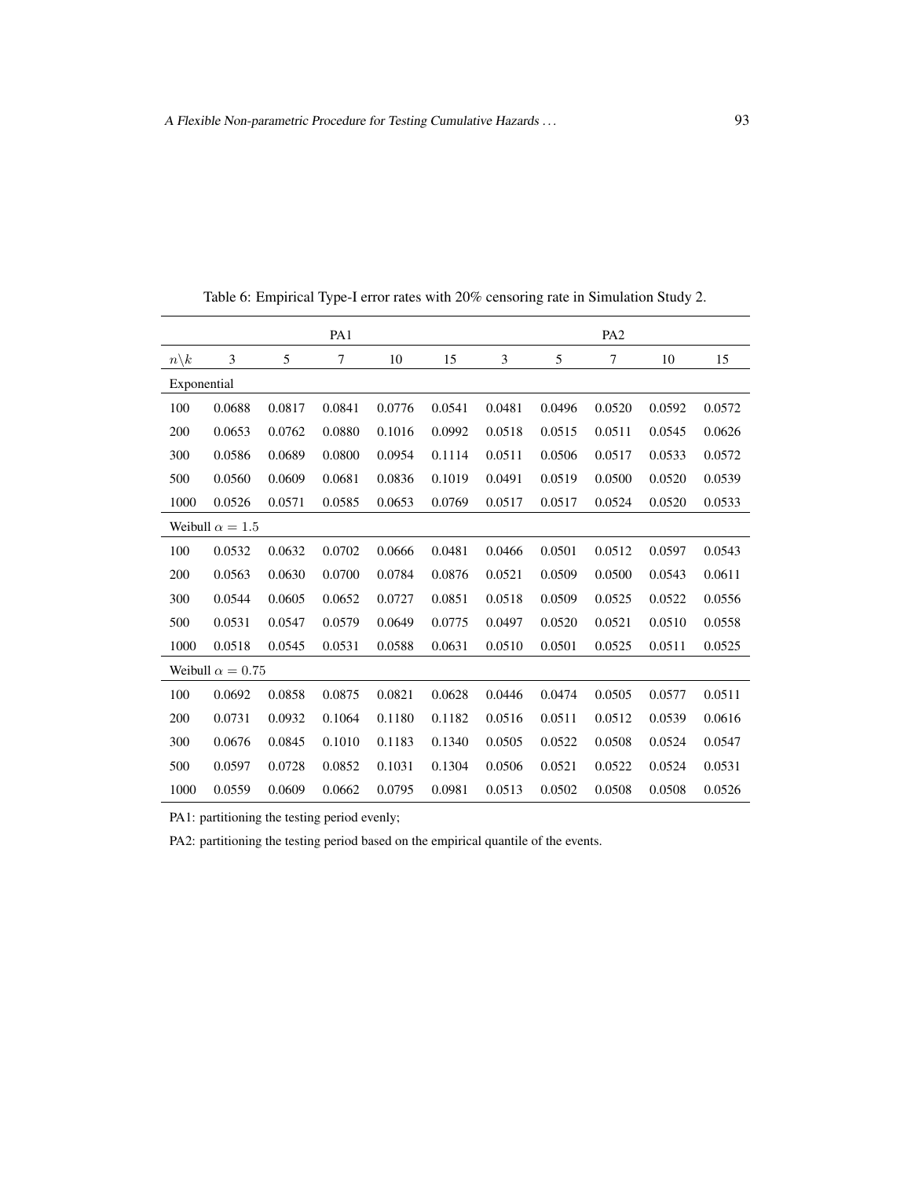|                 |                         |        | PA1            |        |        |        |        | PA <sub>2</sub> |        |        |
|-----------------|-------------------------|--------|----------------|--------|--------|--------|--------|-----------------|--------|--------|
| $n\backslash k$ | 3                       | 5      | $\overline{7}$ | 10     | 15     | 3      | 5      | 7               | 10     | 15     |
| Exponential     |                         |        |                |        |        |        |        |                 |        |        |
| 100             | 0.0688                  | 0.0817 | 0.0841         | 0.0776 | 0.0541 | 0.0481 | 0.0496 | 0.0520          | 0.0592 | 0.0572 |
| 200             | 0.0653                  | 0.0762 | 0.0880         | 0.1016 | 0.0992 | 0.0518 | 0.0515 | 0.0511          | 0.0545 | 0.0626 |
| 300             | 0.0586                  | 0.0689 | 0.0800         | 0.0954 | 0.1114 | 0.0511 | 0.0506 | 0.0517          | 0.0533 | 0.0572 |
| 500             | 0.0560                  | 0.0609 | 0.0681         | 0.0836 | 0.1019 | 0.0491 | 0.0519 | 0.0500          | 0.0520 | 0.0539 |
| 1000            | 0.0526                  | 0.0571 | 0.0585         | 0.0653 | 0.0769 | 0.0517 | 0.0517 | 0.0524          | 0.0520 | 0.0533 |
|                 | Weibull $\alpha = 1.5$  |        |                |        |        |        |        |                 |        |        |
| 100             | 0.0532                  | 0.0632 | 0.0702         | 0.0666 | 0.0481 | 0.0466 | 0.0501 | 0.0512          | 0.0597 | 0.0543 |
| 200             | 0.0563                  | 0.0630 | 0.0700         | 0.0784 | 0.0876 | 0.0521 | 0.0509 | 0.0500          | 0.0543 | 0.0611 |
| 300             | 0.0544                  | 0.0605 | 0.0652         | 0.0727 | 0.0851 | 0.0518 | 0.0509 | 0.0525          | 0.0522 | 0.0556 |
| 500             | 0.0531                  | 0.0547 | 0.0579         | 0.0649 | 0.0775 | 0.0497 | 0.0520 | 0.0521          | 0.0510 | 0.0558 |
| 1000            | 0.0518                  | 0.0545 | 0.0531         | 0.0588 | 0.0631 | 0.0510 | 0.0501 | 0.0525          | 0.0511 | 0.0525 |
|                 | Weibull $\alpha = 0.75$ |        |                |        |        |        |        |                 |        |        |
| 100             | 0.0692                  | 0.0858 | 0.0875         | 0.0821 | 0.0628 | 0.0446 | 0.0474 | 0.0505          | 0.0577 | 0.0511 |
| 200             | 0.0731                  | 0.0932 | 0.1064         | 0.1180 | 0.1182 | 0.0516 | 0.0511 | 0.0512          | 0.0539 | 0.0616 |
| 300             | 0.0676                  | 0.0845 | 0.1010         | 0.1183 | 0.1340 | 0.0505 | 0.0522 | 0.0508          | 0.0524 | 0.0547 |
| 500             | 0.0597                  | 0.0728 | 0.0852         | 0.1031 | 0.1304 | 0.0506 | 0.0521 | 0.0522          | 0.0524 | 0.0531 |
| 1000            | 0.0559                  | 0.0609 | 0.0662         | 0.0795 | 0.0981 | 0.0513 | 0.0502 | 0.0508          | 0.0508 | 0.0526 |

Table 6: Empirical Type-I error rates with 20% censoring rate in Simulation Study 2.

PA2: partitioning the testing period based on the empirical quantile of the events.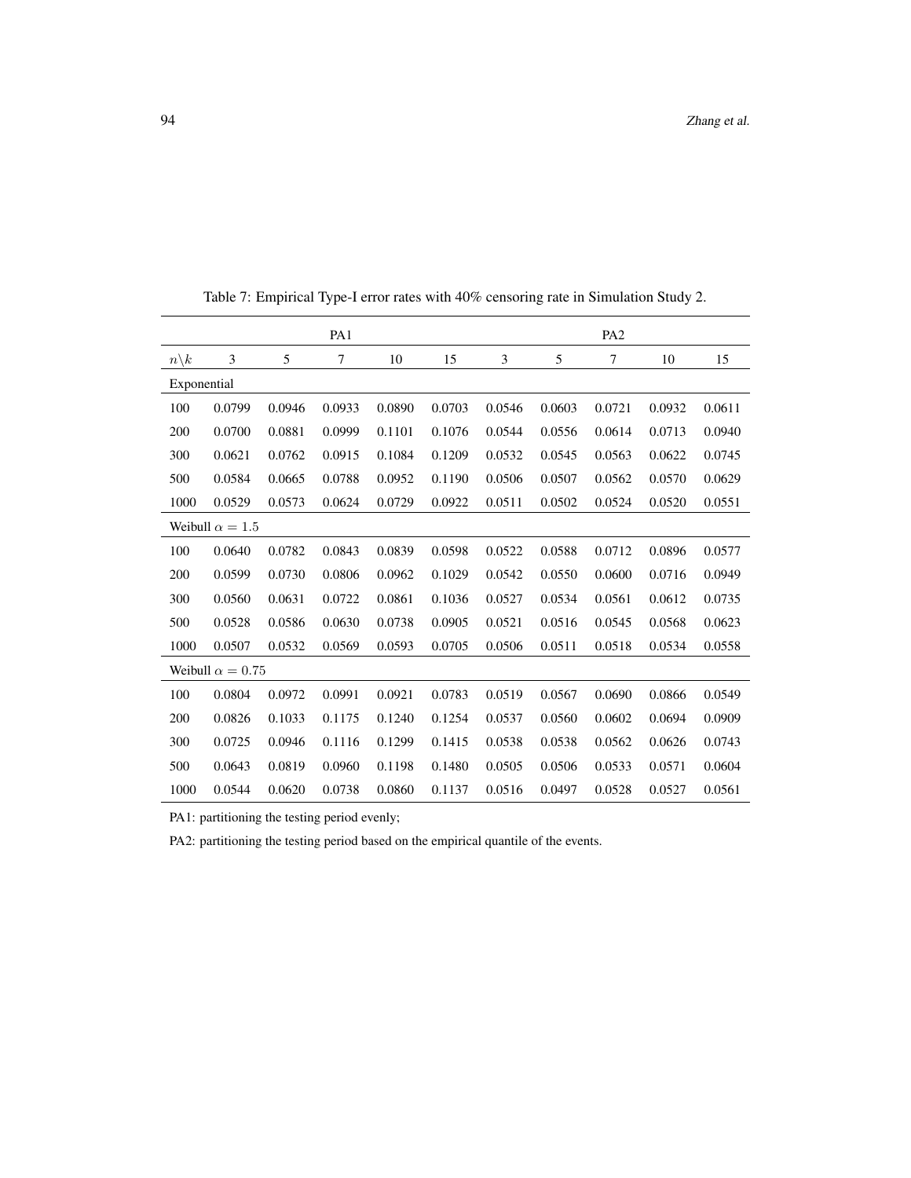|                 |                         |        | PA1    |        |        |        |        | PA <sub>2</sub> |        |        |
|-----------------|-------------------------|--------|--------|--------|--------|--------|--------|-----------------|--------|--------|
| $n\backslash k$ | 3                       | 5      | $\tau$ | 10     | 15     | 3      | 5      | 7               | 10     | 15     |
| Exponential     |                         |        |        |        |        |        |        |                 |        |        |
| 100             | 0.0799                  | 0.0946 | 0.0933 | 0.0890 | 0.0703 | 0.0546 | 0.0603 | 0.0721          | 0.0932 | 0.0611 |
| 200             | 0.0700                  | 0.0881 | 0.0999 | 0.1101 | 0.1076 | 0.0544 | 0.0556 | 0.0614          | 0.0713 | 0.0940 |
| 300             | 0.0621                  | 0.0762 | 0.0915 | 0.1084 | 0.1209 | 0.0532 | 0.0545 | 0.0563          | 0.0622 | 0.0745 |
| 500             | 0.0584                  | 0.0665 | 0.0788 | 0.0952 | 0.1190 | 0.0506 | 0.0507 | 0.0562          | 0.0570 | 0.0629 |
| 1000            | 0.0529                  | 0.0573 | 0.0624 | 0.0729 | 0.0922 | 0.0511 | 0.0502 | 0.0524          | 0.0520 | 0.0551 |
|                 | Weibull $\alpha = 1.5$  |        |        |        |        |        |        |                 |        |        |
| 100             | 0.0640                  | 0.0782 | 0.0843 | 0.0839 | 0.0598 | 0.0522 | 0.0588 | 0.0712          | 0.0896 | 0.0577 |
| 200             | 0.0599                  | 0.0730 | 0.0806 | 0.0962 | 0.1029 | 0.0542 | 0.0550 | 0.0600          | 0.0716 | 0.0949 |
| 300             | 0.0560                  | 0.0631 | 0.0722 | 0.0861 | 0.1036 | 0.0527 | 0.0534 | 0.0561          | 0.0612 | 0.0735 |
| 500             | 0.0528                  | 0.0586 | 0.0630 | 0.0738 | 0.0905 | 0.0521 | 0.0516 | 0.0545          | 0.0568 | 0.0623 |
| 1000            | 0.0507                  | 0.0532 | 0.0569 | 0.0593 | 0.0705 | 0.0506 | 0.0511 | 0.0518          | 0.0534 | 0.0558 |
|                 | Weibull $\alpha = 0.75$ |        |        |        |        |        |        |                 |        |        |
| 100             | 0.0804                  | 0.0972 | 0.0991 | 0.0921 | 0.0783 | 0.0519 | 0.0567 | 0.0690          | 0.0866 | 0.0549 |
| 200             | 0.0826                  | 0.1033 | 0.1175 | 0.1240 | 0.1254 | 0.0537 | 0.0560 | 0.0602          | 0.0694 | 0.0909 |
| 300             | 0.0725                  | 0.0946 | 0.1116 | 0.1299 | 0.1415 | 0.0538 | 0.0538 | 0.0562          | 0.0626 | 0.0743 |
| 500             | 0.0643                  | 0.0819 | 0.0960 | 0.1198 | 0.1480 | 0.0505 | 0.0506 | 0.0533          | 0.0571 | 0.0604 |
| 1000            | 0.0544                  | 0.0620 | 0.0738 | 0.0860 | 0.1137 | 0.0516 | 0.0497 | 0.0528          | 0.0527 | 0.0561 |

<span id="page-19-0"></span>Table 7: Empirical Type-I error rates with 40% censoring rate in Simulation Study 2.

PA2: partitioning the testing period based on the empirical quantile of the events.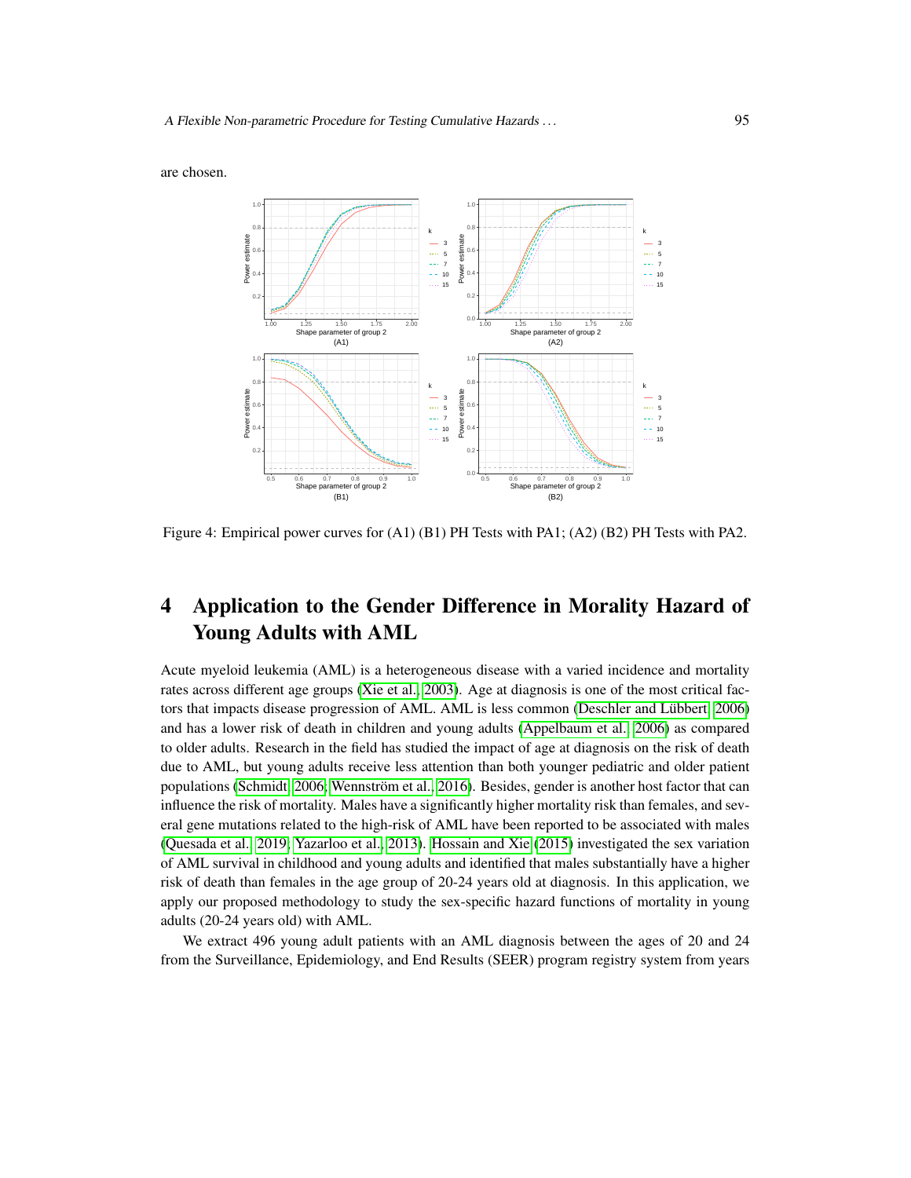are chosen.



<span id="page-20-0"></span>Figure 4: Empirical power curves for (A1) (B1) PH Tests with PA1; (A2) (B2) PH Tests with PA2.

# 4 Application to the Gender Difference in Morality Hazard of Young Adults with AML

Acute myeloid leukemia (AML) is a heterogeneous disease with a varied incidence and mortality rates across different age groups [\(Xie et al., 2003\)](#page-25-4). Age at diagnosis is one of the most critical factors that impacts disease progression of AML. AML is less common (Deschler and Lübbert, 2006) and has a lower risk of death in children and young adults [\(Appelbaum et al., 2006\)](#page-23-11) as compared to older adults. Research in the field has studied the impact of age at diagnosis on the risk of death due to AML, but young adults receive less attention than both younger pediatric and older patient populations [\(Schmidt, 2006;](#page-24-10) Wennström et al., 2016). Besides, gender is another host factor that can influence the risk of mortality. Males have a significantly higher mortality risk than females, and several gene mutations related to the high-risk of AML have been reported to be associated with males [\(Quesada et al., 2019;](#page-24-11) [Yazarloo et al., 2013\)](#page-25-6). [Hossain and Xie](#page-24-12) [\(2015\)](#page-24-12) investigated the sex variation of AML survival in childhood and young adults and identified that males substantially have a higher risk of death than females in the age group of 20-24 years old at diagnosis. In this application, we apply our proposed methodology to study the sex-specific hazard functions of mortality in young adults (20-24 years old) with AML.

We extract 496 young adult patients with an AML diagnosis between the ages of 20 and 24 from the Surveillance, Epidemiology, and End Results (SEER) program registry system from years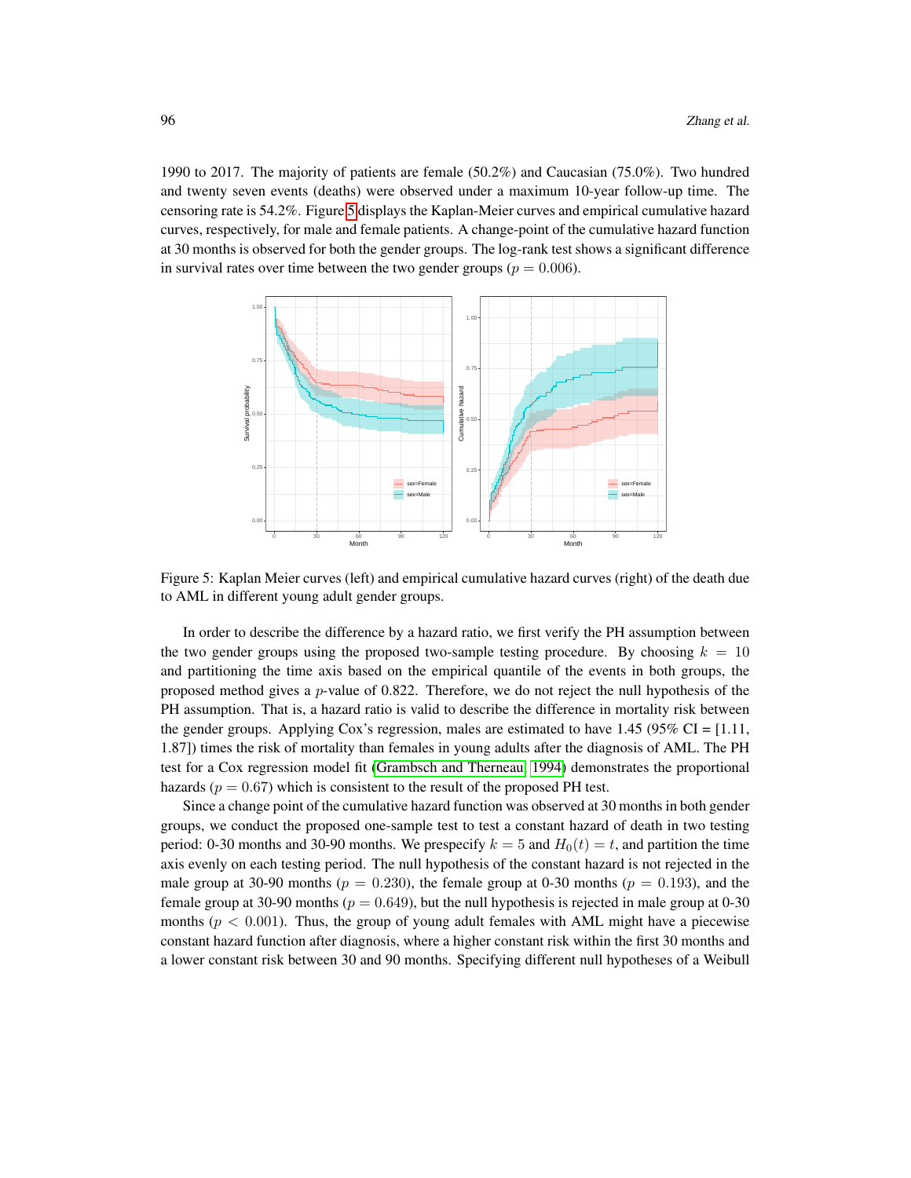1990 to 2017. The majority of patients are female (50.2%) and Caucasian (75.0%). Two hundred and twenty seven events (deaths) were observed under a maximum 10-year follow-up time. The censoring rate is 54.2%. Figure [5](#page-21-0) displays the Kaplan-Meier curves and empirical cumulative hazard curves, respectively, for male and female patients. A change-point of the cumulative hazard function at 30 months is observed for both the gender groups. The log-rank test shows a significant difference in survival rates over time between the two gender groups ( $p = 0.006$ ).



<span id="page-21-0"></span>Figure 5: Kaplan Meier curves (left) and empirical cumulative hazard curves (right) of the death due to AML in different young adult gender groups.

In order to describe the difference by a hazard ratio, we first verify the PH assumption between the two gender groups using the proposed two-sample testing procedure. By choosing  $k = 10$ and partitioning the time axis based on the empirical quantile of the events in both groups, the proposed method gives a  $p$ -value of 0.822. Therefore, we do not reject the null hypothesis of the PH assumption. That is, a hazard ratio is valid to describe the difference in mortality risk between the gender groups. Applying Cox's regression, males are estimated to have  $1.45$  (95% CI = [1.11, 1.87]) times the risk of mortality than females in young adults after the diagnosis of AML. The PH test for a Cox regression model fit [\(Grambsch and Therneau, 1994\)](#page-23-4) demonstrates the proportional hazards ( $p = 0.67$ ) which is consistent to the result of the proposed PH test.

Since a change point of the cumulative hazard function was observed at 30 months in both gender groups, we conduct the proposed one-sample test to test a constant hazard of death in two testing period: 0-30 months and 30-90 months. We prespecify  $k = 5$  and  $H_0(t) = t$ , and partition the time axis evenly on each testing period. The null hypothesis of the constant hazard is not rejected in the male group at 30-90 months ( $p = 0.230$ ), the female group at 0-30 months ( $p = 0.193$ ), and the female group at 30-90 months ( $p = 0.649$ ), but the null hypothesis is rejected in male group at 0-30 months ( $p < 0.001$ ). Thus, the group of young adult females with AML might have a piecewise constant hazard function after diagnosis, where a higher constant risk within the first 30 months and a lower constant risk between 30 and 90 months. Specifying different null hypotheses of a Weibull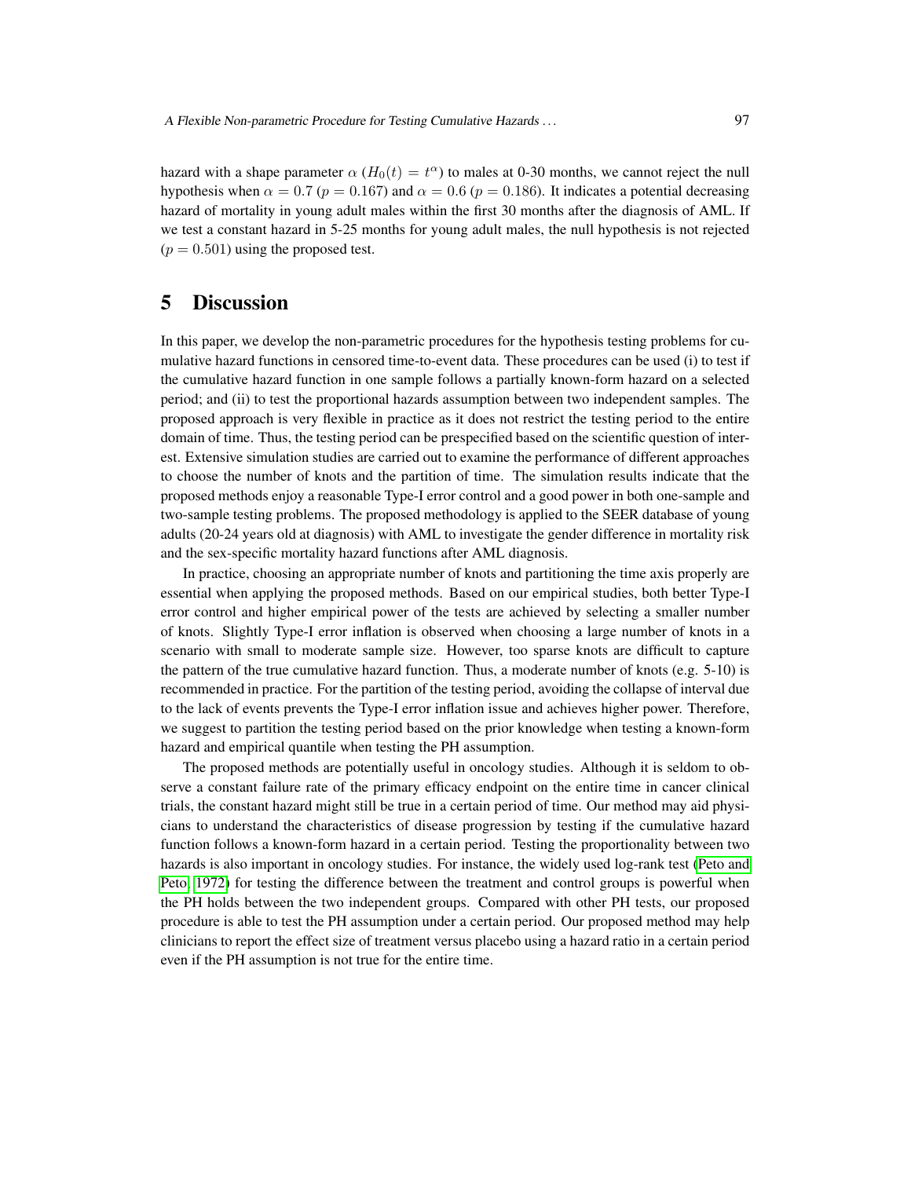hazard with a shape parameter  $\alpha$  ( $H_0(t) = t^{\alpha}$ ) to males at 0-30 months, we cannot reject the null hypothesis when  $\alpha = 0.7$  ( $p = 0.167$ ) and  $\alpha = 0.6$  ( $p = 0.186$ ). It indicates a potential decreasing hazard of mortality in young adult males within the first 30 months after the diagnosis of AML. If we test a constant hazard in 5-25 months for young adult males, the null hypothesis is not rejected  $(p = 0.501)$  using the proposed test.

# 5 Discussion

In this paper, we develop the non-parametric procedures for the hypothesis testing problems for cumulative hazard functions in censored time-to-event data. These procedures can be used (i) to test if the cumulative hazard function in one sample follows a partially known-form hazard on a selected period; and (ii) to test the proportional hazards assumption between two independent samples. The proposed approach is very flexible in practice as it does not restrict the testing period to the entire domain of time. Thus, the testing period can be prespecified based on the scientific question of interest. Extensive simulation studies are carried out to examine the performance of different approaches to choose the number of knots and the partition of time. The simulation results indicate that the proposed methods enjoy a reasonable Type-I error control and a good power in both one-sample and two-sample testing problems. The proposed methodology is applied to the SEER database of young adults (20-24 years old at diagnosis) with AML to investigate the gender difference in mortality risk and the sex-specific mortality hazard functions after AML diagnosis.

In practice, choosing an appropriate number of knots and partitioning the time axis properly are essential when applying the proposed methods. Based on our empirical studies, both better Type-I error control and higher empirical power of the tests are achieved by selecting a smaller number of knots. Slightly Type-I error inflation is observed when choosing a large number of knots in a scenario with small to moderate sample size. However, too sparse knots are difficult to capture the pattern of the true cumulative hazard function. Thus, a moderate number of knots (e.g.  $5-10$ ) is recommended in practice. For the partition of the testing period, avoiding the collapse of interval due to the lack of events prevents the Type-I error inflation issue and achieves higher power. Therefore, we suggest to partition the testing period based on the prior knowledge when testing a known-form hazard and empirical quantile when testing the PH assumption.

The proposed methods are potentially useful in oncology studies. Although it is seldom to observe a constant failure rate of the primary efficacy endpoint on the entire time in cancer clinical trials, the constant hazard might still be true in a certain period of time. Our method may aid physicians to understand the characteristics of disease progression by testing if the cumulative hazard function follows a known-form hazard in a certain period. Testing the proportionality between two hazards is also important in oncology studies. For instance, the widely used log-rank test [\(Peto and](#page-24-13) [Peto, 1972\)](#page-24-13) for testing the difference between the treatment and control groups is powerful when the PH holds between the two independent groups. Compared with other PH tests, our proposed procedure is able to test the PH assumption under a certain period. Our proposed method may help clinicians to report the effect size of treatment versus placebo using a hazard ratio in a certain period even if the PH assumption is not true for the entire time.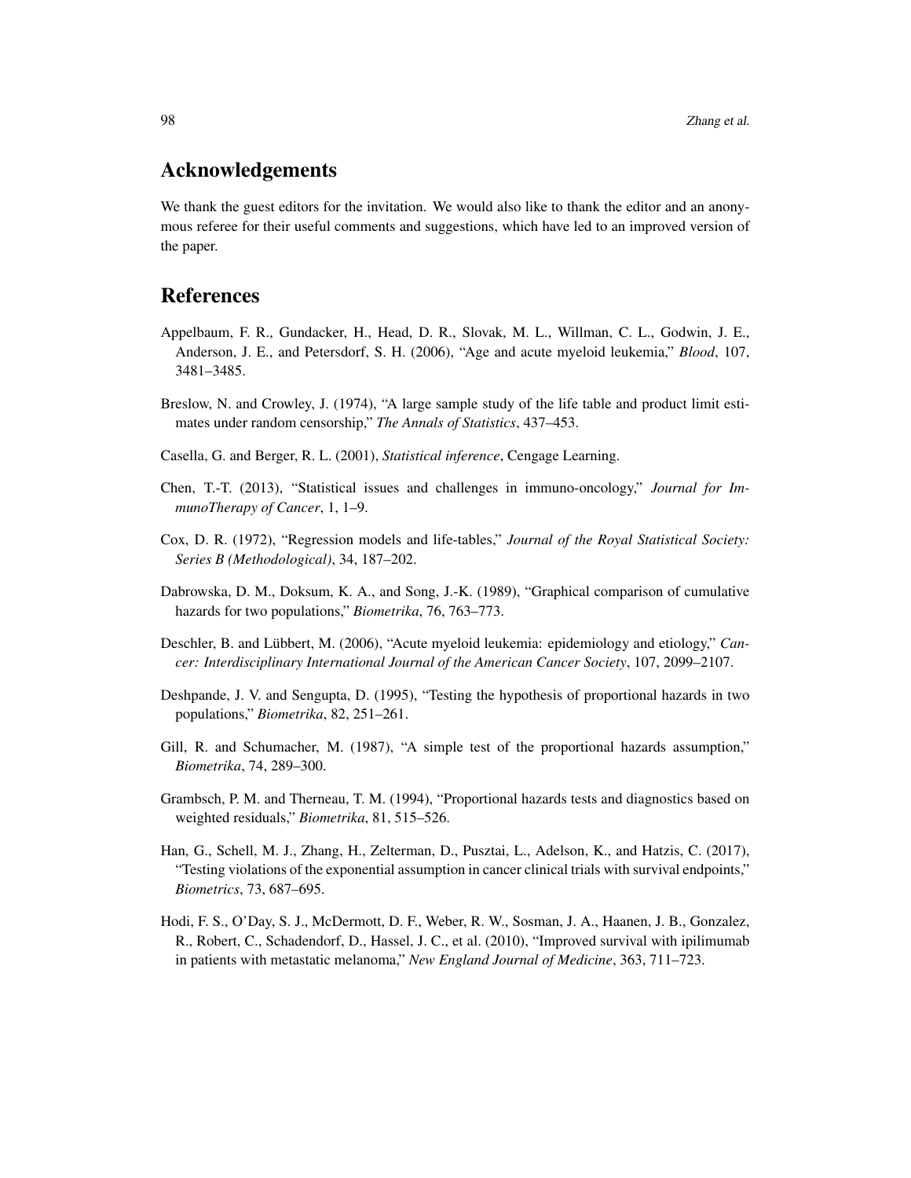# Acknowledgements

We thank the guest editors for the invitation. We would also like to thank the editor and an anonymous referee for their useful comments and suggestions, which have led to an improved version of the paper.

# References

- <span id="page-23-11"></span>Appelbaum, F. R., Gundacker, H., Head, D. R., Slovak, M. L., Willman, C. L., Godwin, J. E., Anderson, J. E., and Petersdorf, S. H. (2006), "Age and acute myeloid leukemia," *Blood*, 107, 3481–3485.
- <span id="page-23-8"></span>Breslow, N. and Crowley, J. (1974), "A large sample study of the life table and product limit estimates under random censorship," *The Annals of Statistics*, 437–453.
- <span id="page-23-9"></span>Casella, G. and Berger, R. L. (2001), *Statistical inference*, Cengage Learning.
- <span id="page-23-7"></span>Chen, T.-T. (2013), "Statistical issues and challenges in immuno-oncology," *Journal for ImmunoTherapy of Cancer*, 1, 1–9.
- <span id="page-23-1"></span>Cox, D. R. (1972), "Regression models and life-tables," *Journal of the Royal Statistical Society: Series B (Methodological)*, 34, 187–202.
- <span id="page-23-3"></span>Dabrowska, D. M., Doksum, K. A., and Song, J.-K. (1989), "Graphical comparison of cumulative hazards for two populations," *Biometrika*, 76, 763–773.
- <span id="page-23-10"></span>Deschler, B. and Lübbert, M. (2006), "Acute myeloid leukemia: epidemiology and etiology," *Cancer: Interdisciplinary International Journal of the American Cancer Society*, 107, 2099–2107.
- <span id="page-23-5"></span>Deshpande, J. V. and Sengupta, D. (1995), "Testing the hypothesis of proportional hazards in two populations," *Biometrika*, 82, 251–261.
- <span id="page-23-2"></span>Gill, R. and Schumacher, M. (1987), "A simple test of the proportional hazards assumption," *Biometrika*, 74, 289–300.
- <span id="page-23-4"></span>Grambsch, P. M. and Therneau, T. M. (1994), "Proportional hazards tests and diagnostics based on weighted residuals," *Biometrika*, 81, 515–526.
- <span id="page-23-0"></span>Han, G., Schell, M. J., Zhang, H., Zelterman, D., Pusztai, L., Adelson, K., and Hatzis, C. (2017), "Testing violations of the exponential assumption in cancer clinical trials with survival endpoints," *Biometrics*, 73, 687–695.
- <span id="page-23-6"></span>Hodi, F. S., O'Day, S. J., McDermott, D. F., Weber, R. W., Sosman, J. A., Haanen, J. B., Gonzalez, R., Robert, C., Schadendorf, D., Hassel, J. C., et al. (2010), "Improved survival with ipilimumab in patients with metastatic melanoma," *New England Journal of Medicine*, 363, 711–723.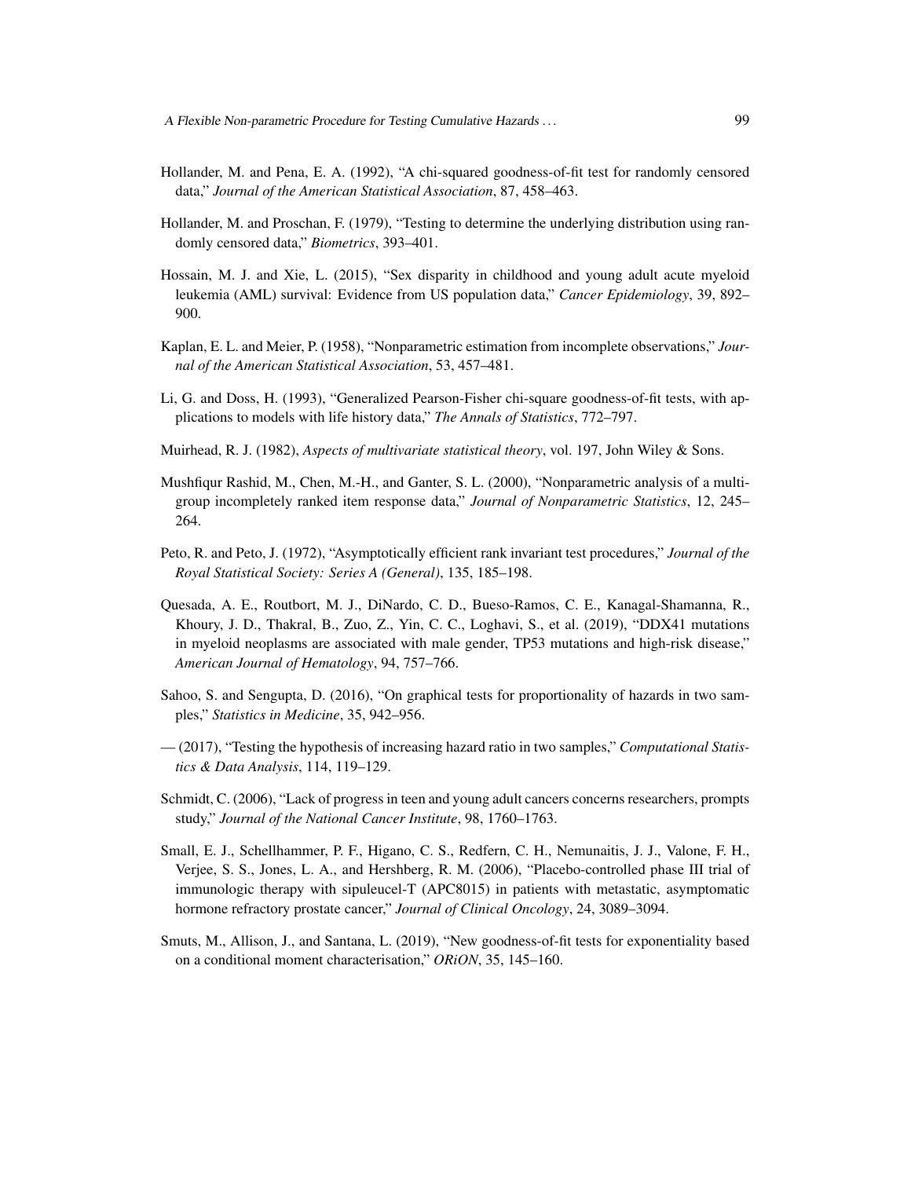- <span id="page-24-1"></span>Hollander, M. and Pena, E. A. (1992), "A chi-squared goodness-of-fit test for randomly censored data," *Journal of the American Statistical Association*, 87, 458–463.
- <span id="page-24-0"></span>Hollander, M. and Proschan, F. (1979), "Testing to determine the underlying distribution using randomly censored data," *Biometrics*, 393–401.
- <span id="page-24-12"></span>Hossain, M. J. and Xie, L. (2015), "Sex disparity in childhood and young adult acute myeloid leukemia (AML) survival: Evidence from US population data," *Cancer Epidemiology*, 39, 892– 900.
- <span id="page-24-7"></span>Kaplan, E. L. and Meier, P. (1958), "Nonparametric estimation from incomplete observations," *Journal of the American Statistical Association*, 53, 457–481.
- <span id="page-24-2"></span>Li, G. and Doss, H. (1993), "Generalized Pearson-Fisher chi-square goodness-of-fit tests, with applications to models with life history data," *The Annals of Statistics*, 772–797.
- <span id="page-24-9"></span>Muirhead, R. J. (1982), *Aspects of multivariate statistical theory*, vol. 197, John Wiley & Sons.
- <span id="page-24-8"></span>Mushfiqur Rashid, M., Chen, M.-H., and Ganter, S. L. (2000), "Nonparametric analysis of a multigroup incompletely ranked item response data," *Journal of Nonparametric Statistics*, 12, 245– 264.
- <span id="page-24-13"></span>Peto, R. and Peto, J. (1972), "Asymptotically efficient rank invariant test procedures," *Journal of the Royal Statistical Society: Series A (General)*, 135, 185–198.
- <span id="page-24-11"></span>Quesada, A. E., Routbort, M. J., DiNardo, C. D., Bueso-Ramos, C. E., Kanagal-Shamanna, R., Khoury, J. D., Thakral, B., Zuo, Z., Yin, C. C., Loghavi, S., et al. (2019), "DDX41 mutations in myeloid neoplasms are associated with male gender, TP53 mutations and high-risk disease," *American Journal of Hematology*, 94, 757–766.
- <span id="page-24-4"></span>Sahoo, S. and Sengupta, D. (2016), "On graphical tests for proportionality of hazards in two samples," *Statistics in Medicine*, 35, 942–956.
- <span id="page-24-5"></span>— (2017), "Testing the hypothesis of increasing hazard ratio in two samples," *Computational Statistics & Data Analysis*, 114, 119–129.
- <span id="page-24-10"></span>Schmidt, C. (2006), "Lack of progress in teen and young adult cancers concerns researchers, prompts study," *Journal of the National Cancer Institute*, 98, 1760–1763.
- <span id="page-24-6"></span>Small, E. J., Schellhammer, P. F., Higano, C. S., Redfern, C. H., Nemunaitis, J. J., Valone, F. H., Verjee, S. S., Jones, L. A., and Hershberg, R. M. (2006), "Placebo-controlled phase III trial of immunologic therapy with sipuleucel-T (APC8015) in patients with metastatic, asymptomatic hormone refractory prostate cancer," *Journal of Clinical Oncology*, 24, 3089–3094.
- <span id="page-24-3"></span>Smuts, M., Allison, J., and Santana, L. (2019), "New goodness-of-fit tests for exponentiality based on a conditional moment characterisation," *ORiON*, 35, 145–160.